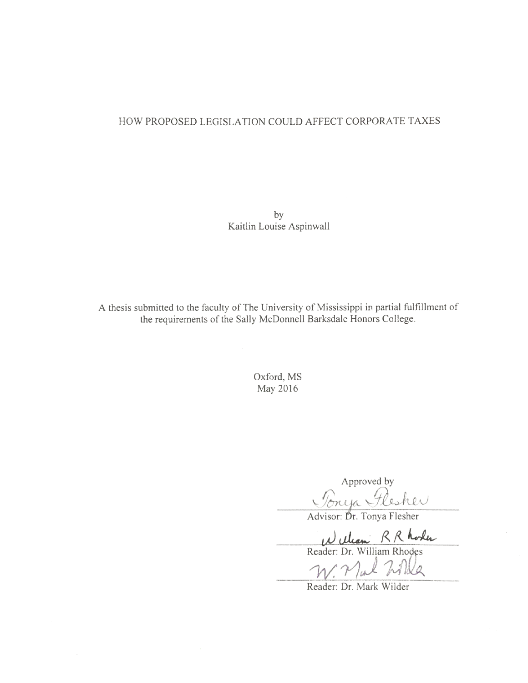# HOW PROPOSED LEGISLATION COULD AFFECT CORPORATE TAXES

by Kaitlin Louise Aspinwall

A thesis submitted to the faculty of The University of Mississippi in partial fulfillment of the requirements of the Sally McDonnell Barksdale Honors College.

> Oxford, MS May 2016

Approved by<br>Concept Flesher

William RR Roles

'a

Reader: Dr. Mark Wilder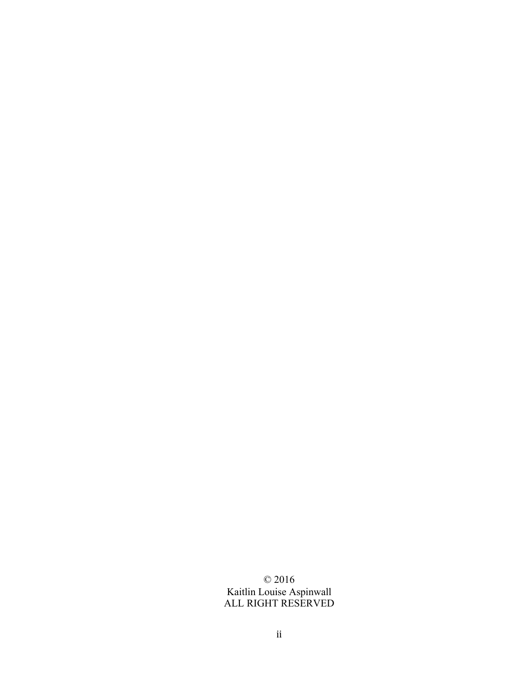© 2016 Kaitlin Louise Aspinwall ALL RIGHT RESERVED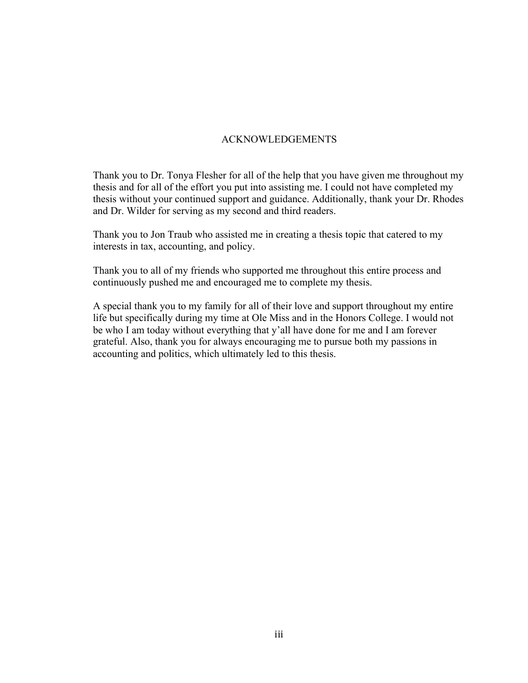# ACKNOWLEDGEMENTS

Thank you to Dr. Tonya Flesher for all of the help that you have given me throughout my thesis and for all of the effort you put into assisting me. I could not have completed my thesis without your continued support and guidance. Additionally, thank your Dr. Rhodes and Dr. Wilder for serving as my second and third readers.

Thank you to Jon Traub who assisted me in creating a thesis topic that catered to my interests in tax, accounting, and policy.

Thank you to all of my friends who supported me throughout this entire process and continuously pushed me and encouraged me to complete my thesis.

A special thank you to my family for all of their love and support throughout my entire life but specifically during my time at Ole Miss and in the Honors College. I would not be who I am today without everything that y'all have done for me and I am forever grateful. Also, thank you for always encouraging me to pursue both my passions in accounting and politics, which ultimately led to this thesis.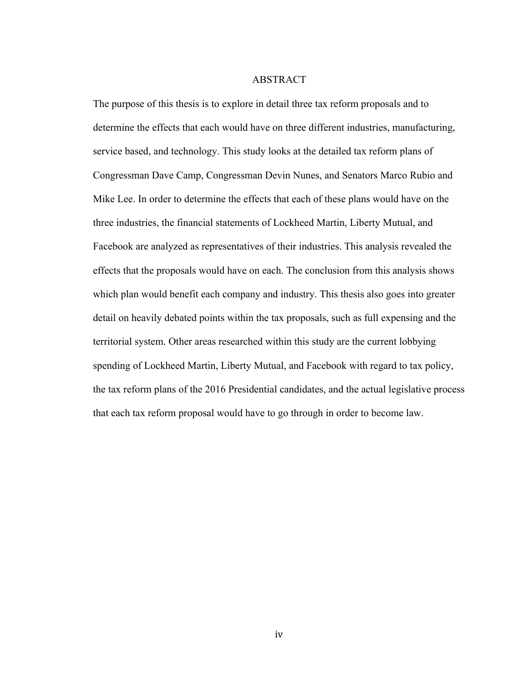#### ABSTRACT

The purpose of this thesis is to explore in detail three tax reform proposals and to determine the effects that each would have on three different industries, manufacturing, service based, and technology. This study looks at the detailed tax reform plans of Congressman Dave Camp, Congressman Devin Nunes, and Senators Marco Rubio and Mike Lee. In order to determine the effects that each of these plans would have on the three industries, the financial statements of Lockheed Martin, Liberty Mutual, and Facebook are analyzed as representatives of their industries. This analysis revealed the effects that the proposals would have on each. The conclusion from this analysis shows which plan would benefit each company and industry. This thesis also goes into greater detail on heavily debated points within the tax proposals, such as full expensing and the territorial system. Other areas researched within this study are the current lobbying spending of Lockheed Martin, Liberty Mutual, and Facebook with regard to tax policy, the tax reform plans of the 2016 Presidential candidates, and the actual legislative process that each tax reform proposal would have to go through in order to become law.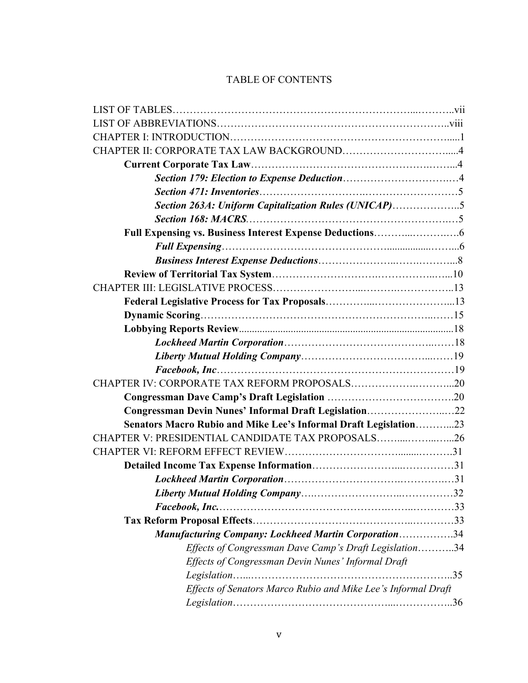# TABLE OF CONTENTS

| Section 263A: Uniform Capitalization Rules (UNICAP)5             |  |
|------------------------------------------------------------------|--|
|                                                                  |  |
|                                                                  |  |
|                                                                  |  |
|                                                                  |  |
|                                                                  |  |
|                                                                  |  |
|                                                                  |  |
|                                                                  |  |
|                                                                  |  |
|                                                                  |  |
|                                                                  |  |
|                                                                  |  |
|                                                                  |  |
|                                                                  |  |
| Congressman Devin Nunes' Informal Draft Legislation22            |  |
| Senators Macro Rubio and Mike Lee's Informal Draft Legislation23 |  |
| CHAPTER V: PRESIDENTIAL CANDIDATE TAX PROPOSALS26                |  |
|                                                                  |  |
|                                                                  |  |
|                                                                  |  |
|                                                                  |  |
| Facebook, Inc.                                                   |  |
|                                                                  |  |
| <b>Manufacturing Company: Lockheed Martin Corporation34</b>      |  |
| Effects of Congressman Dave Camp's Draft Legislation34           |  |
| Effects of Congressman Devin Nunes' Informal Draft               |  |
|                                                                  |  |
| Effects of Senators Marco Rubio and Mike Lee's Informal Draft    |  |
|                                                                  |  |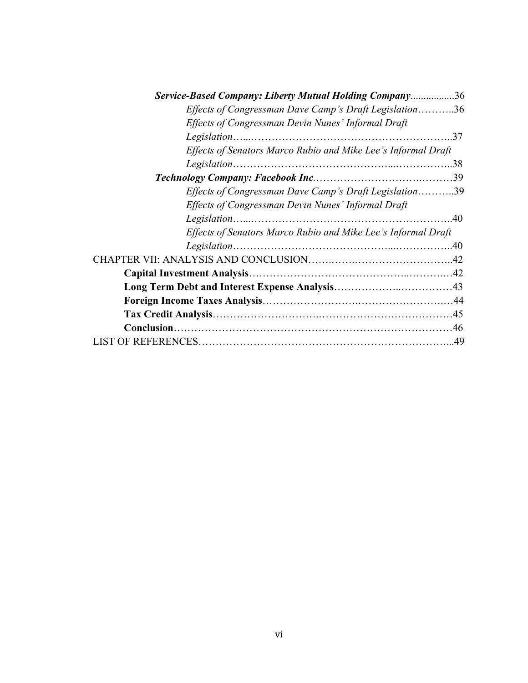| Service-Based Company: Liberty Mutual Holding Company36       |     |
|---------------------------------------------------------------|-----|
| Effects of Congressman Dave Camp's Draft Legislation36        |     |
| Effects of Congressman Devin Nunes' Informal Draft            |     |
|                                                               | .37 |
| Effects of Senators Marco Rubio and Mike Lee's Informal Draft |     |
|                                                               |     |
|                                                               |     |
| Effects of Congressman Dave Camp's Draft Legislation39        |     |
| Effects of Congressman Devin Nunes' Informal Draft            |     |
|                                                               |     |
| Effects of Senators Marco Rubio and Mike Lee's Informal Draft |     |
|                                                               |     |
|                                                               |     |
|                                                               |     |
|                                                               |     |
|                                                               |     |
|                                                               |     |
|                                                               |     |
|                                                               |     |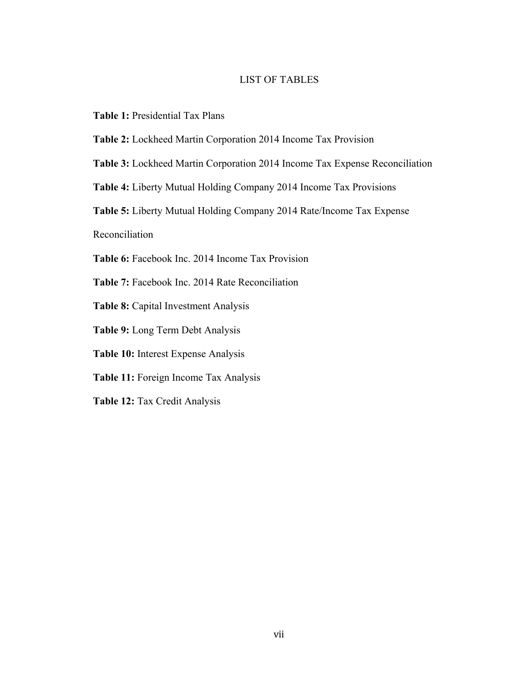# LIST OF TABLES

- **Table 1:** Presidential Tax Plans
- **Table 2:** Lockheed Martin Corporation 2014 Income Tax Provision
- **Table 3:** Lockheed Martin Corporation 2014 Income Tax Expense Reconciliation
- **Table 4:** Liberty Mutual Holding Company 2014 Income Tax Provisions
- **Table 5:** Liberty Mutual Holding Company 2014 Rate/Income Tax Expense

Reconciliation

- **Table 6:** Facebook Inc. 2014 Income Tax Provision
- **Table 7:** Facebook Inc. 2014 Rate Reconciliation
- **Table 8:** Capital Investment Analysis
- **Table 9:** Long Term Debt Analysis
- **Table 10:** Interest Expense Analysis
- **Table 11:** Foreign Income Tax Analysis
- **Table 12:** Tax Credit Analysis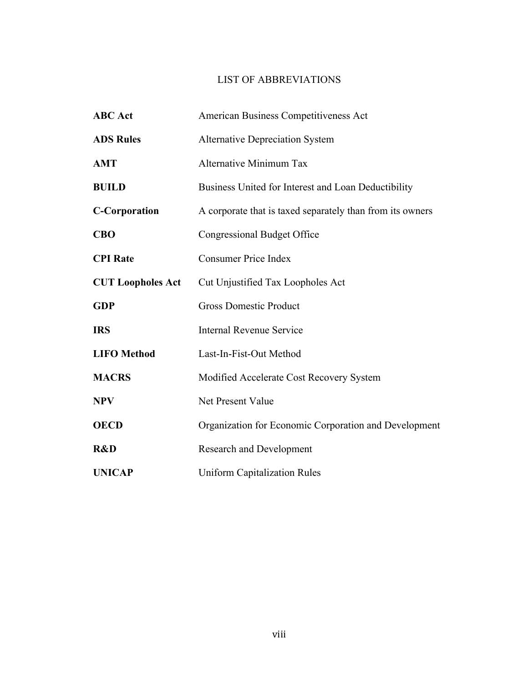# LIST OF ABBREVIATIONS

| <b>ABC</b> Act           | American Business Competitiveness Act                     |  |
|--------------------------|-----------------------------------------------------------|--|
| <b>ADS Rules</b>         | <b>Alternative Depreciation System</b>                    |  |
| <b>AMT</b>               | <b>Alternative Minimum Tax</b>                            |  |
| <b>BUILD</b>             | Business United for Interest and Loan Deductibility       |  |
| <b>C-Corporation</b>     | A corporate that is taxed separately than from its owners |  |
| <b>CBO</b>               | <b>Congressional Budget Office</b>                        |  |
| <b>CPI</b> Rate          | <b>Consumer Price Index</b>                               |  |
| <b>CUT Loopholes Act</b> | Cut Unjustified Tax Loopholes Act                         |  |
| <b>GDP</b>               | <b>Gross Domestic Product</b>                             |  |
| <b>IRS</b>               | Internal Revenue Service                                  |  |
| <b>LIFO</b> Method       | Last-In-Fist-Out Method                                   |  |
| <b>MACRS</b>             | Modified Accelerate Cost Recovery System                  |  |
| <b>NPV</b>               | Net Present Value                                         |  |
| <b>OECD</b>              | Organization for Economic Corporation and Development     |  |
| R&D                      | <b>Research and Development</b>                           |  |
| <b>UNICAP</b>            | <b>Uniform Capitalization Rules</b>                       |  |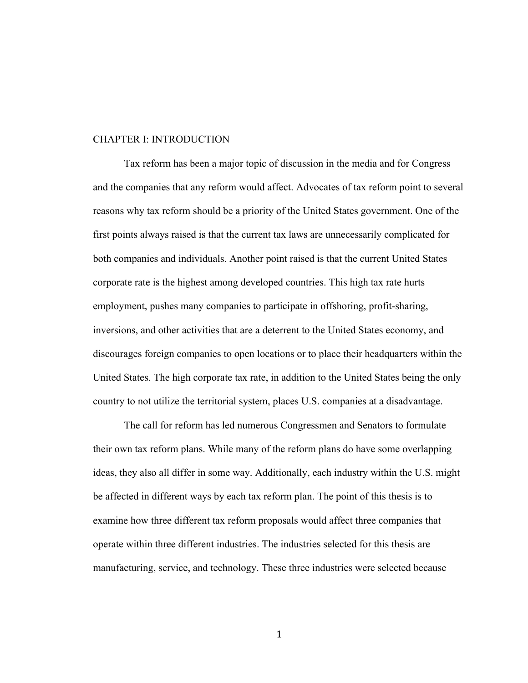#### CHAPTER I: INTRODUCTION

Tax reform has been a major topic of discussion in the media and for Congress and the companies that any reform would affect. Advocates of tax reform point to several reasons why tax reform should be a priority of the United States government. One of the first points always raised is that the current tax laws are unnecessarily complicated for both companies and individuals. Another point raised is that the current United States corporate rate is the highest among developed countries. This high tax rate hurts employment, pushes many companies to participate in offshoring, profit-sharing, inversions, and other activities that are a deterrent to the United States economy, and discourages foreign companies to open locations or to place their headquarters within the United States. The high corporate tax rate, in addition to the United States being the only country to not utilize the territorial system, places U.S. companies at a disadvantage.

The call for reform has led numerous Congressmen and Senators to formulate their own tax reform plans. While many of the reform plans do have some overlapping ideas, they also all differ in some way. Additionally, each industry within the U.S. might be affected in different ways by each tax reform plan. The point of this thesis is to examine how three different tax reform proposals would affect three companies that operate within three different industries. The industries selected for this thesis are manufacturing, service, and technology. These three industries were selected because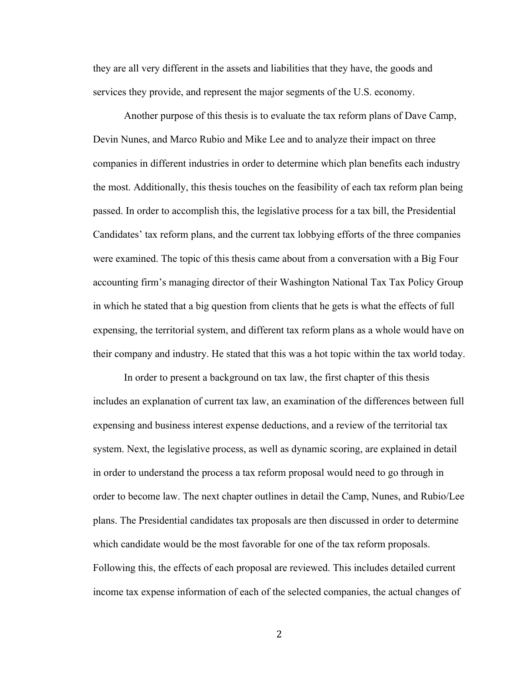they are all very different in the assets and liabilities that they have, the goods and services they provide, and represent the major segments of the U.S. economy.

Another purpose of this thesis is to evaluate the tax reform plans of Dave Camp, Devin Nunes, and Marco Rubio and Mike Lee and to analyze their impact on three companies in different industries in order to determine which plan benefits each industry the most. Additionally, this thesis touches on the feasibility of each tax reform plan being passed. In order to accomplish this, the legislative process for a tax bill, the Presidential Candidates' tax reform plans, and the current tax lobbying efforts of the three companies were examined. The topic of this thesis came about from a conversation with a Big Four accounting firm's managing director of their Washington National Tax Tax Policy Group in which he stated that a big question from clients that he gets is what the effects of full expensing, the territorial system, and different tax reform plans as a whole would have on their company and industry. He stated that this was a hot topic within the tax world today.

In order to present a background on tax law, the first chapter of this thesis includes an explanation of current tax law, an examination of the differences between full expensing and business interest expense deductions, and a review of the territorial tax system. Next, the legislative process, as well as dynamic scoring, are explained in detail in order to understand the process a tax reform proposal would need to go through in order to become law. The next chapter outlines in detail the Camp, Nunes, and Rubio/Lee plans. The Presidential candidates tax proposals are then discussed in order to determine which candidate would be the most favorable for one of the tax reform proposals. Following this, the effects of each proposal are reviewed. This includes detailed current income tax expense information of each of the selected companies, the actual changes of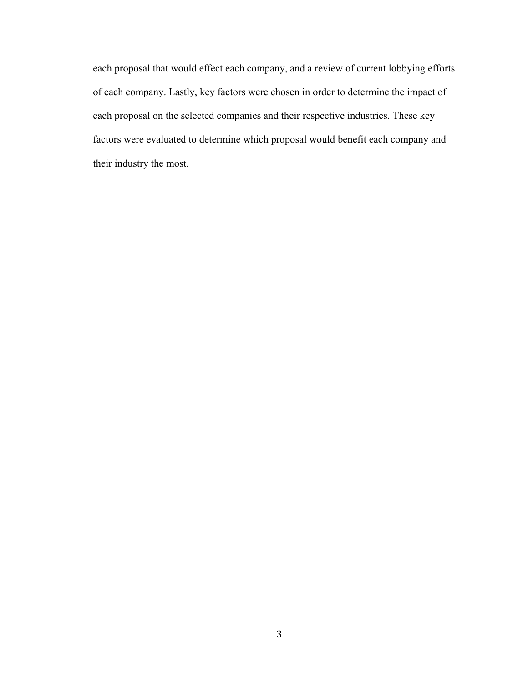each proposal that would effect each company, and a review of current lobbying efforts of each company. Lastly, key factors were chosen in order to determine the impact of each proposal on the selected companies and their respective industries. These key factors were evaluated to determine which proposal would benefit each company and their industry the most.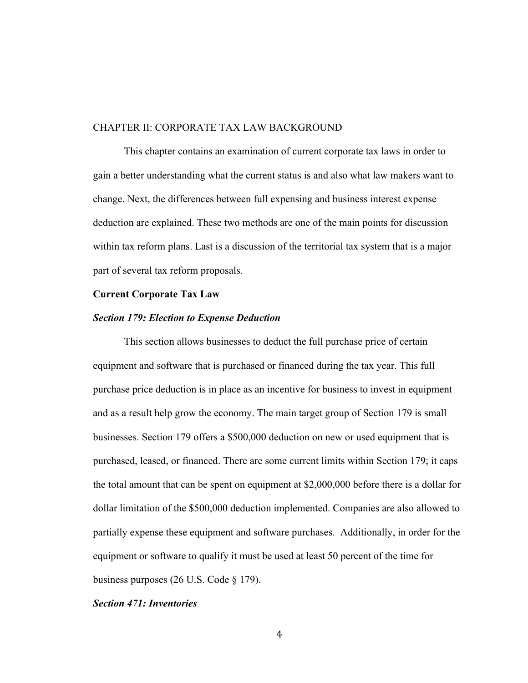### CHAPTER II: CORPORATE TAX LAW BACKGROUND

This chapter contains an examination of current corporate tax laws in order to gain a better understanding what the current status is and also what law makers want to change. Next, the differences between full expensing and business interest expense deduction are explained. These two methods are one of the main points for discussion within tax reform plans. Last is a discussion of the territorial tax system that is a major part of several tax reform proposals.

#### **Current Corporate Tax Law**

#### *Section 179: Election to Expense Deduction*

This section allows businesses to deduct the full purchase price of certain equipment and software that is purchased or financed during the tax year. This full purchase price deduction is in place as an incentive for business to invest in equipment and as a result help grow the economy. The main target group of Section 179 is small businesses. Section 179 offers a \$500,000 deduction on new or used equipment that is purchased, leased, or financed. There are some current limits within Section 179; it caps the total amount that can be spent on equipment at \$2,000,000 before there is a dollar for dollar limitation of the \$500,000 deduction implemented. Companies are also allowed to partially expense these equipment and software purchases. Additionally, in order for the equipment or software to qualify it must be used at least 50 percent of the time for business purposes (26 U.S. Code § 179).

# *Section 471: Inventories*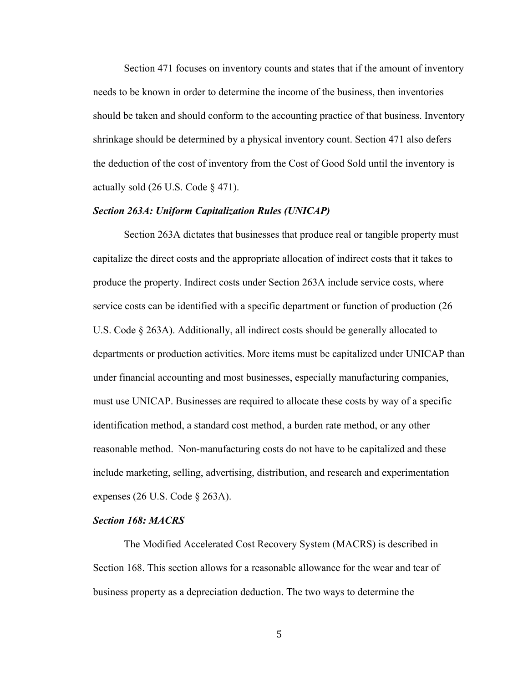Section 471 focuses on inventory counts and states that if the amount of inventory needs to be known in order to determine the income of the business, then inventories should be taken and should conform to the accounting practice of that business. Inventory shrinkage should be determined by a physical inventory count. Section 471 also defers the deduction of the cost of inventory from the Cost of Good Sold until the inventory is actually sold  $(26 \text{ U.S. Code } § 471)$ .

# *Section 263A: Uniform Capitalization Rules (UNICAP)*

Section 263A dictates that businesses that produce real or tangible property must capitalize the direct costs and the appropriate allocation of indirect costs that it takes to produce the property. Indirect costs under Section 263A include service costs, where service costs can be identified with a specific department or function of production (26 U.S. Code § 263A). Additionally, all indirect costs should be generally allocated to departments or production activities. More items must be capitalized under UNICAP than under financial accounting and most businesses, especially manufacturing companies, must use UNICAP. Businesses are required to allocate these costs by way of a specific identification method, a standard cost method, a burden rate method, or any other reasonable method. Non-manufacturing costs do not have to be capitalized and these include marketing, selling, advertising, distribution, and research and experimentation expenses (26 U.S. Code § 263A).

# *Section 168: MACRS*

The Modified Accelerated Cost Recovery System (MACRS) is described in Section 168. This section allows for a reasonable allowance for the wear and tear of business property as a depreciation deduction. The two ways to determine the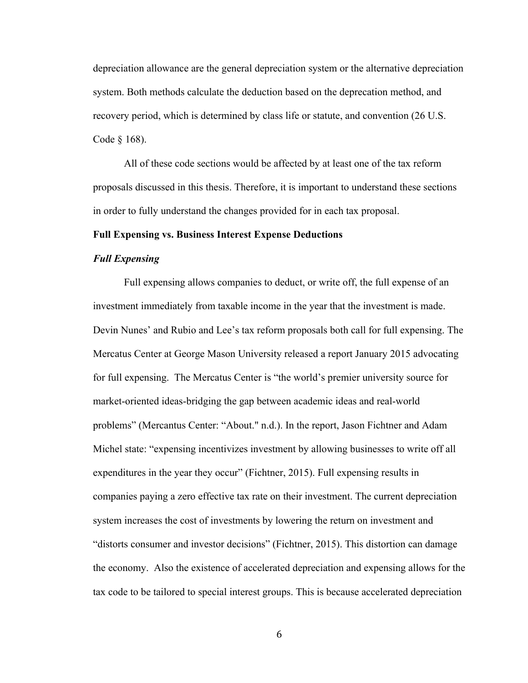depreciation allowance are the general depreciation system or the alternative depreciation system. Both methods calculate the deduction based on the deprecation method, and recovery period, which is determined by class life or statute, and convention (26 U.S. Code § 168).

All of these code sections would be affected by at least one of the tax reform proposals discussed in this thesis. Therefore, it is important to understand these sections in order to fully understand the changes provided for in each tax proposal.

#### **Full Expensing vs. Business Interest Expense Deductions**

# *Full Expensing*

Full expensing allows companies to deduct, or write off, the full expense of an investment immediately from taxable income in the year that the investment is made. Devin Nunes' and Rubio and Lee's tax reform proposals both call for full expensing. The Mercatus Center at George Mason University released a report January 2015 advocating for full expensing. The Mercatus Center is "the world's premier university source for market-oriented ideas-bridging the gap between academic ideas and real-world problems" (Mercantus Center: "About." n.d.). In the report, Jason Fichtner and Adam Michel state: "expensing incentivizes investment by allowing businesses to write off all expenditures in the year they occur" (Fichtner, 2015). Full expensing results in companies paying a zero effective tax rate on their investment. The current depreciation system increases the cost of investments by lowering the return on investment and "distorts consumer and investor decisions" (Fichtner, 2015). This distortion can damage the economy. Also the existence of accelerated depreciation and expensing allows for the tax code to be tailored to special interest groups. This is because accelerated depreciation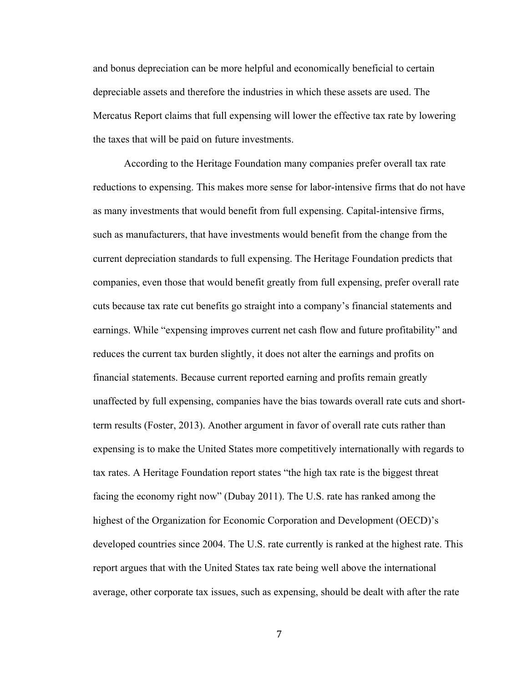and bonus depreciation can be more helpful and economically beneficial to certain depreciable assets and therefore the industries in which these assets are used. The Mercatus Report claims that full expensing will lower the effective tax rate by lowering the taxes that will be paid on future investments.

According to the Heritage Foundation many companies prefer overall tax rate reductions to expensing. This makes more sense for labor-intensive firms that do not have as many investments that would benefit from full expensing. Capital-intensive firms, such as manufacturers, that have investments would benefit from the change from the current depreciation standards to full expensing. The Heritage Foundation predicts that companies, even those that would benefit greatly from full expensing, prefer overall rate cuts because tax rate cut benefits go straight into a company's financial statements and earnings. While "expensing improves current net cash flow and future profitability" and reduces the current tax burden slightly, it does not alter the earnings and profits on financial statements. Because current reported earning and profits remain greatly unaffected by full expensing, companies have the bias towards overall rate cuts and shortterm results (Foster, 2013). Another argument in favor of overall rate cuts rather than expensing is to make the United States more competitively internationally with regards to tax rates. A Heritage Foundation report states "the high tax rate is the biggest threat facing the economy right now" (Dubay 2011). The U.S. rate has ranked among the highest of the Organization for Economic Corporation and Development (OECD)'s developed countries since 2004. The U.S. rate currently is ranked at the highest rate. This report argues that with the United States tax rate being well above the international average, other corporate tax issues, such as expensing, should be dealt with after the rate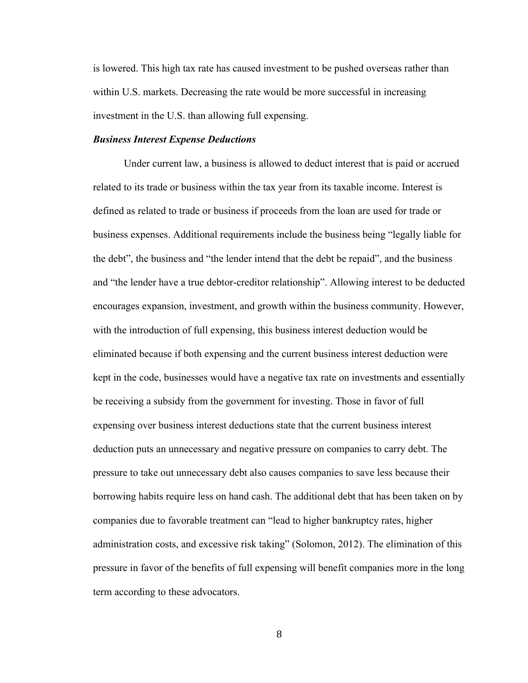is lowered. This high tax rate has caused investment to be pushed overseas rather than within U.S. markets. Decreasing the rate would be more successful in increasing investment in the U.S. than allowing full expensing.

# *Business Interest Expense Deductions*

Under current law, a business is allowed to deduct interest that is paid or accrued related to its trade or business within the tax year from its taxable income. Interest is defined as related to trade or business if proceeds from the loan are used for trade or business expenses. Additional requirements include the business being "legally liable for the debt", the business and "the lender intend that the debt be repaid", and the business and "the lender have a true debtor-creditor relationship". Allowing interest to be deducted encourages expansion, investment, and growth within the business community. However, with the introduction of full expensing, this business interest deduction would be eliminated because if both expensing and the current business interest deduction were kept in the code, businesses would have a negative tax rate on investments and essentially be receiving a subsidy from the government for investing. Those in favor of full expensing over business interest deductions state that the current business interest deduction puts an unnecessary and negative pressure on companies to carry debt. The pressure to take out unnecessary debt also causes companies to save less because their borrowing habits require less on hand cash. The additional debt that has been taken on by companies due to favorable treatment can "lead to higher bankruptcy rates, higher administration costs, and excessive risk taking" (Solomon, 2012). The elimination of this pressure in favor of the benefits of full expensing will benefit companies more in the long term according to these advocators.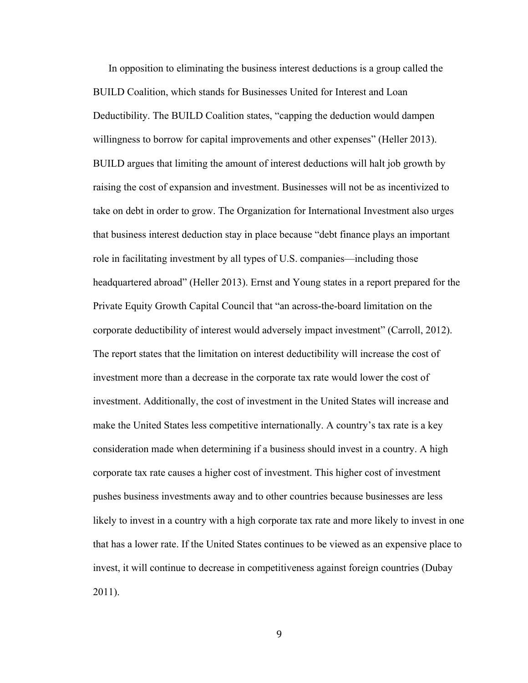In opposition to eliminating the business interest deductions is a group called the BUILD Coalition, which stands for Businesses United for Interest and Loan Deductibility. The BUILD Coalition states, "capping the deduction would dampen willingness to borrow for capital improvements and other expenses" (Heller 2013). BUILD argues that limiting the amount of interest deductions will halt job growth by raising the cost of expansion and investment. Businesses will not be as incentivized to take on debt in order to grow. The Organization for International Investment also urges that business interest deduction stay in place because "debt finance plays an important role in facilitating investment by all types of U.S. companies—including those headquartered abroad" (Heller 2013). Ernst and Young states in a report prepared for the Private Equity Growth Capital Council that "an across-the-board limitation on the corporate deductibility of interest would adversely impact investment" (Carroll, 2012). The report states that the limitation on interest deductibility will increase the cost of investment more than a decrease in the corporate tax rate would lower the cost of investment. Additionally, the cost of investment in the United States will increase and make the United States less competitive internationally. A country's tax rate is a key consideration made when determining if a business should invest in a country. A high corporate tax rate causes a higher cost of investment. This higher cost of investment pushes business investments away and to other countries because businesses are less likely to invest in a country with a high corporate tax rate and more likely to invest in one that has a lower rate. If the United States continues to be viewed as an expensive place to invest, it will continue to decrease in competitiveness against foreign countries (Dubay 2011).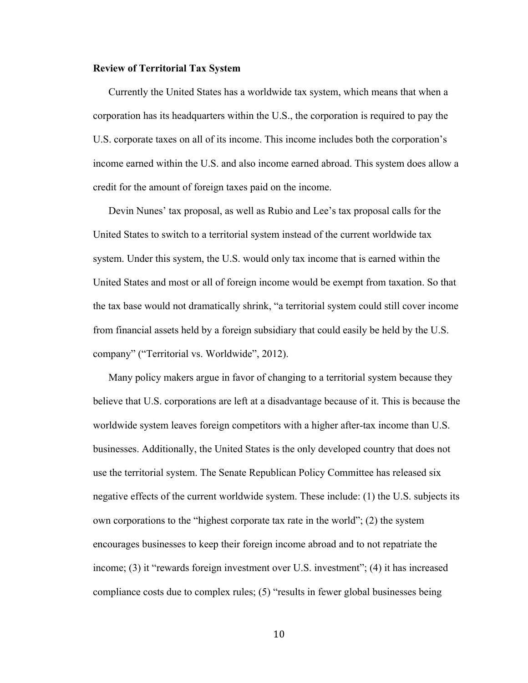#### **Review of Territorial Tax System**

Currently the United States has a worldwide tax system, which means that when a corporation has its headquarters within the U.S., the corporation is required to pay the U.S. corporate taxes on all of its income. This income includes both the corporation's income earned within the U.S. and also income earned abroad. This system does allow a credit for the amount of foreign taxes paid on the income.

Devin Nunes' tax proposal, as well as Rubio and Lee's tax proposal calls for the United States to switch to a territorial system instead of the current worldwide tax system. Under this system, the U.S. would only tax income that is earned within the United States and most or all of foreign income would be exempt from taxation. So that the tax base would not dramatically shrink, "a territorial system could still cover income from financial assets held by a foreign subsidiary that could easily be held by the U.S. company" ("Territorial vs. Worldwide", 2012).

Many policy makers argue in favor of changing to a territorial system because they believe that U.S. corporations are left at a disadvantage because of it. This is because the worldwide system leaves foreign competitors with a higher after-tax income than U.S. businesses. Additionally, the United States is the only developed country that does not use the territorial system. The Senate Republican Policy Committee has released six negative effects of the current worldwide system. These include: (1) the U.S. subjects its own corporations to the "highest corporate tax rate in the world"; (2) the system encourages businesses to keep their foreign income abroad and to not repatriate the income; (3) it "rewards foreign investment over U.S. investment"; (4) it has increased compliance costs due to complex rules; (5) "results in fewer global businesses being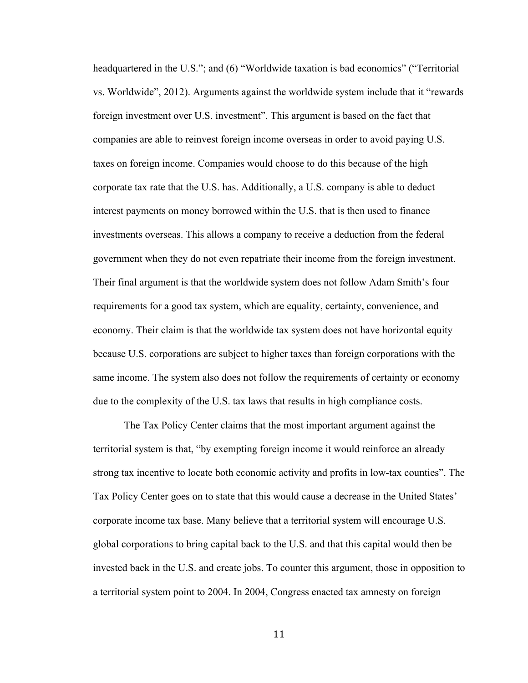headquartered in the U.S."; and (6) "Worldwide taxation is bad economics" ("Territorial vs. Worldwide", 2012). Arguments against the worldwide system include that it "rewards foreign investment over U.S. investment". This argument is based on the fact that companies are able to reinvest foreign income overseas in order to avoid paying U.S. taxes on foreign income. Companies would choose to do this because of the high corporate tax rate that the U.S. has. Additionally, a U.S. company is able to deduct interest payments on money borrowed within the U.S. that is then used to finance investments overseas. This allows a company to receive a deduction from the federal government when they do not even repatriate their income from the foreign investment. Their final argument is that the worldwide system does not follow Adam Smith's four requirements for a good tax system, which are equality, certainty, convenience, and economy. Their claim is that the worldwide tax system does not have horizontal equity because U.S. corporations are subject to higher taxes than foreign corporations with the same income. The system also does not follow the requirements of certainty or economy due to the complexity of the U.S. tax laws that results in high compliance costs.

The Tax Policy Center claims that the most important argument against the territorial system is that, "by exempting foreign income it would reinforce an already strong tax incentive to locate both economic activity and profits in low-tax counties". The Tax Policy Center goes on to state that this would cause a decrease in the United States' corporate income tax base. Many believe that a territorial system will encourage U.S. global corporations to bring capital back to the U.S. and that this capital would then be invested back in the U.S. and create jobs. To counter this argument, those in opposition to a territorial system point to 2004. In 2004, Congress enacted tax amnesty on foreign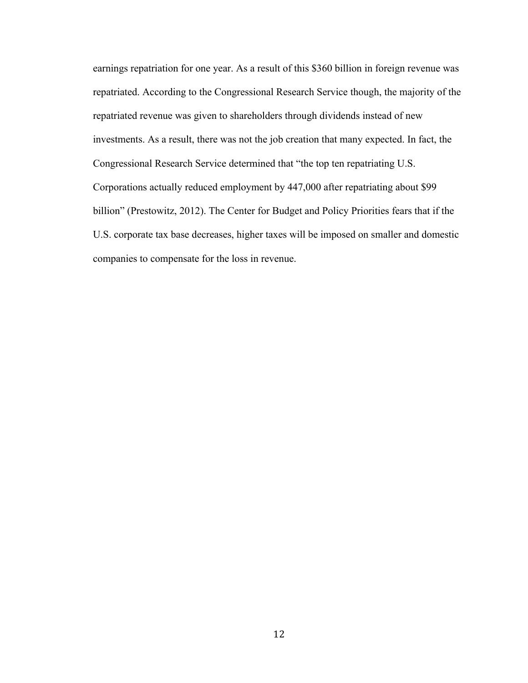earnings repatriation for one year. As a result of this \$360 billion in foreign revenue was repatriated. According to the Congressional Research Service though, the majority of the repatriated revenue was given to shareholders through dividends instead of new investments. As a result, there was not the job creation that many expected. In fact, the Congressional Research Service determined that "the top ten repatriating U.S. Corporations actually reduced employment by 447,000 after repatriating about \$99 billion" (Prestowitz, 2012). The Center for Budget and Policy Priorities fears that if the U.S. corporate tax base decreases, higher taxes will be imposed on smaller and domestic companies to compensate for the loss in revenue.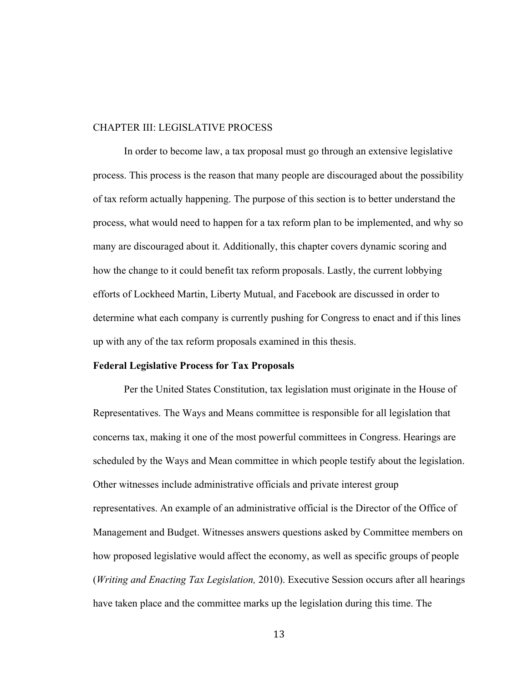#### CHAPTER III: LEGISLATIVE PROCESS

In order to become law, a tax proposal must go through an extensive legislative process. This process is the reason that many people are discouraged about the possibility of tax reform actually happening. The purpose of this section is to better understand the process, what would need to happen for a tax reform plan to be implemented, and why so many are discouraged about it. Additionally, this chapter covers dynamic scoring and how the change to it could benefit tax reform proposals. Lastly, the current lobbying efforts of Lockheed Martin, Liberty Mutual, and Facebook are discussed in order to determine what each company is currently pushing for Congress to enact and if this lines up with any of the tax reform proposals examined in this thesis.

### **Federal Legislative Process for Tax Proposals**

Per the United States Constitution, tax legislation must originate in the House of Representatives. The Ways and Means committee is responsible for all legislation that concerns tax, making it one of the most powerful committees in Congress. Hearings are scheduled by the Ways and Mean committee in which people testify about the legislation. Other witnesses include administrative officials and private interest group representatives. An example of an administrative official is the Director of the Office of Management and Budget. Witnesses answers questions asked by Committee members on how proposed legislative would affect the economy, as well as specific groups of people (*Writing and Enacting Tax Legislation,* 2010). Executive Session occurs after all hearings have taken place and the committee marks up the legislation during this time. The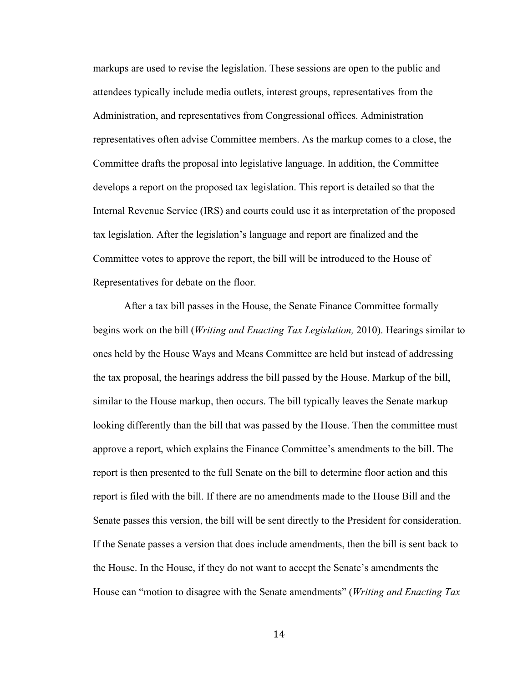markups are used to revise the legislation. These sessions are open to the public and attendees typically include media outlets, interest groups, representatives from the Administration, and representatives from Congressional offices. Administration representatives often advise Committee members. As the markup comes to a close, the Committee drafts the proposal into legislative language. In addition, the Committee develops a report on the proposed tax legislation. This report is detailed so that the Internal Revenue Service (IRS) and courts could use it as interpretation of the proposed tax legislation. After the legislation's language and report are finalized and the Committee votes to approve the report, the bill will be introduced to the House of Representatives for debate on the floor.

After a tax bill passes in the House, the Senate Finance Committee formally begins work on the bill (*Writing and Enacting Tax Legislation,* 2010). Hearings similar to ones held by the House Ways and Means Committee are held but instead of addressing the tax proposal, the hearings address the bill passed by the House. Markup of the bill, similar to the House markup, then occurs. The bill typically leaves the Senate markup looking differently than the bill that was passed by the House. Then the committee must approve a report, which explains the Finance Committee's amendments to the bill. The report is then presented to the full Senate on the bill to determine floor action and this report is filed with the bill. If there are no amendments made to the House Bill and the Senate passes this version, the bill will be sent directly to the President for consideration. If the Senate passes a version that does include amendments, then the bill is sent back to the House. In the House, if they do not want to accept the Senate's amendments the House can "motion to disagree with the Senate amendments" (*Writing and Enacting Tax*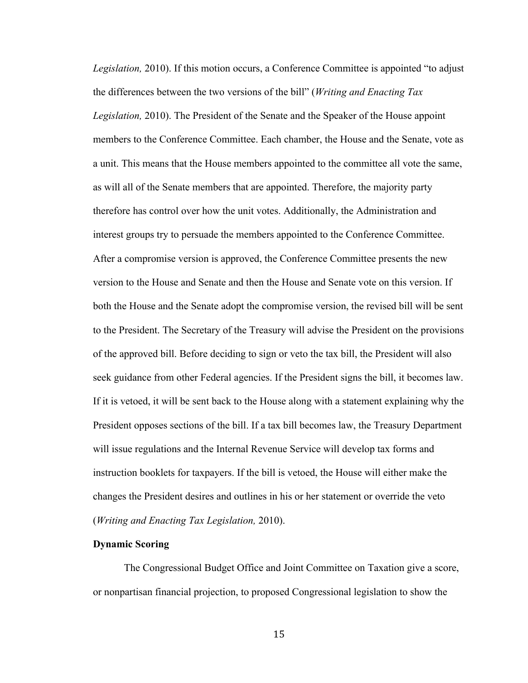*Legislation,* 2010). If this motion occurs, a Conference Committee is appointed "to adjust the differences between the two versions of the bill" (*Writing and Enacting Tax Legislation,* 2010). The President of the Senate and the Speaker of the House appoint members to the Conference Committee. Each chamber, the House and the Senate, vote as a unit. This means that the House members appointed to the committee all vote the same, as will all of the Senate members that are appointed. Therefore, the majority party therefore has control over how the unit votes. Additionally, the Administration and interest groups try to persuade the members appointed to the Conference Committee. After a compromise version is approved, the Conference Committee presents the new version to the House and Senate and then the House and Senate vote on this version. If both the House and the Senate adopt the compromise version, the revised bill will be sent to the President. The Secretary of the Treasury will advise the President on the provisions of the approved bill. Before deciding to sign or veto the tax bill, the President will also seek guidance from other Federal agencies. If the President signs the bill, it becomes law. If it is vetoed, it will be sent back to the House along with a statement explaining why the President opposes sections of the bill. If a tax bill becomes law, the Treasury Department will issue regulations and the Internal Revenue Service will develop tax forms and instruction booklets for taxpayers. If the bill is vetoed, the House will either make the changes the President desires and outlines in his or her statement or override the veto (*Writing and Enacting Tax Legislation,* 2010).

# **Dynamic Scoring**

The Congressional Budget Office and Joint Committee on Taxation give a score, or nonpartisan financial projection, to proposed Congressional legislation to show the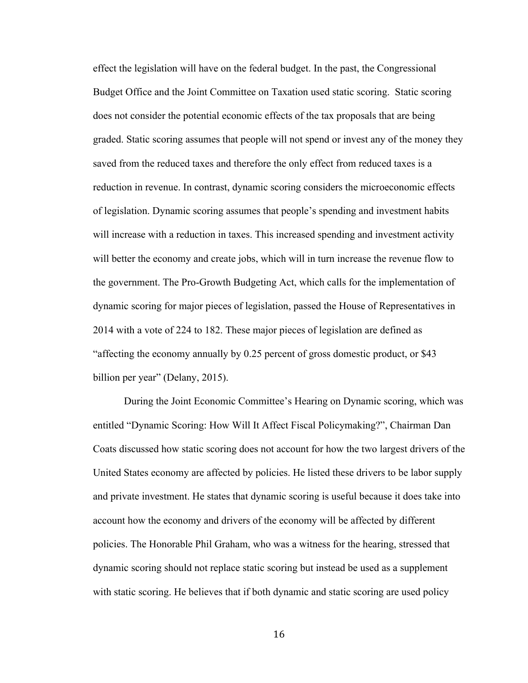effect the legislation will have on the federal budget. In the past, the Congressional Budget Office and the Joint Committee on Taxation used static scoring. Static scoring does not consider the potential economic effects of the tax proposals that are being graded. Static scoring assumes that people will not spend or invest any of the money they saved from the reduced taxes and therefore the only effect from reduced taxes is a reduction in revenue. In contrast, dynamic scoring considers the microeconomic effects of legislation. Dynamic scoring assumes that people's spending and investment habits will increase with a reduction in taxes. This increased spending and investment activity will better the economy and create jobs, which will in turn increase the revenue flow to the government. The Pro-Growth Budgeting Act, which calls for the implementation of dynamic scoring for major pieces of legislation, passed the House of Representatives in 2014 with a vote of 224 to 182. These major pieces of legislation are defined as "affecting the economy annually by 0.25 percent of gross domestic product, or \$43 billion per year" (Delany, 2015).

During the Joint Economic Committee's Hearing on Dynamic scoring, which was entitled "Dynamic Scoring: How Will It Affect Fiscal Policymaking?", Chairman Dan Coats discussed how static scoring does not account for how the two largest drivers of the United States economy are affected by policies. He listed these drivers to be labor supply and private investment. He states that dynamic scoring is useful because it does take into account how the economy and drivers of the economy will be affected by different policies. The Honorable Phil Graham, who was a witness for the hearing, stressed that dynamic scoring should not replace static scoring but instead be used as a supplement with static scoring. He believes that if both dynamic and static scoring are used policy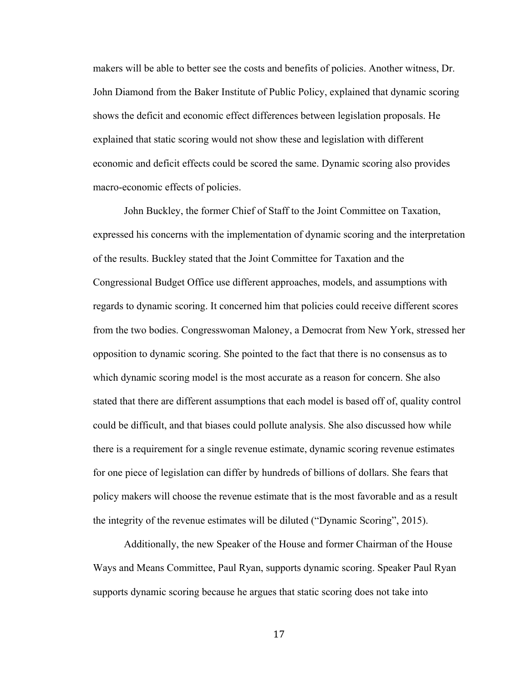makers will be able to better see the costs and benefits of policies. Another witness, Dr. John Diamond from the Baker Institute of Public Policy, explained that dynamic scoring shows the deficit and economic effect differences between legislation proposals. He explained that static scoring would not show these and legislation with different economic and deficit effects could be scored the same. Dynamic scoring also provides macro-economic effects of policies.

John Buckley, the former Chief of Staff to the Joint Committee on Taxation, expressed his concerns with the implementation of dynamic scoring and the interpretation of the results. Buckley stated that the Joint Committee for Taxation and the Congressional Budget Office use different approaches, models, and assumptions with regards to dynamic scoring. It concerned him that policies could receive different scores from the two bodies. Congresswoman Maloney, a Democrat from New York, stressed her opposition to dynamic scoring. She pointed to the fact that there is no consensus as to which dynamic scoring model is the most accurate as a reason for concern. She also stated that there are different assumptions that each model is based off of, quality control could be difficult, and that biases could pollute analysis. She also discussed how while there is a requirement for a single revenue estimate, dynamic scoring revenue estimates for one piece of legislation can differ by hundreds of billions of dollars. She fears that policy makers will choose the revenue estimate that is the most favorable and as a result the integrity of the revenue estimates will be diluted ("Dynamic Scoring", 2015).

Additionally, the new Speaker of the House and former Chairman of the House Ways and Means Committee, Paul Ryan, supports dynamic scoring. Speaker Paul Ryan supports dynamic scoring because he argues that static scoring does not take into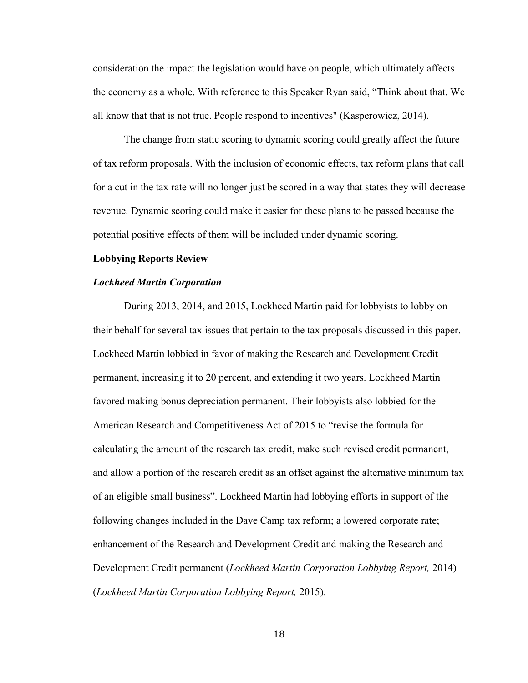consideration the impact the legislation would have on people, which ultimately affects the economy as a whole. With reference to this Speaker Ryan said, "Think about that. We all know that that is not true. People respond to incentives" (Kasperowicz, 2014).

The change from static scoring to dynamic scoring could greatly affect the future of tax reform proposals. With the inclusion of economic effects, tax reform plans that call for a cut in the tax rate will no longer just be scored in a way that states they will decrease revenue. Dynamic scoring could make it easier for these plans to be passed because the potential positive effects of them will be included under dynamic scoring.

#### **Lobbying Reports Review**

#### *Lockheed Martin Corporation*

During 2013, 2014, and 2015, Lockheed Martin paid for lobbyists to lobby on their behalf for several tax issues that pertain to the tax proposals discussed in this paper. Lockheed Martin lobbied in favor of making the Research and Development Credit permanent, increasing it to 20 percent, and extending it two years. Lockheed Martin favored making bonus depreciation permanent. Their lobbyists also lobbied for the American Research and Competitiveness Act of 2015 to "revise the formula for calculating the amount of the research tax credit, make such revised credit permanent, and allow a portion of the research credit as an offset against the alternative minimum tax of an eligible small business". Lockheed Martin had lobbying efforts in support of the following changes included in the Dave Camp tax reform; a lowered corporate rate; enhancement of the Research and Development Credit and making the Research and Development Credit permanent (*Lockheed Martin Corporation Lobbying Report,* 2014) (*Lockheed Martin Corporation Lobbying Report,* 2015).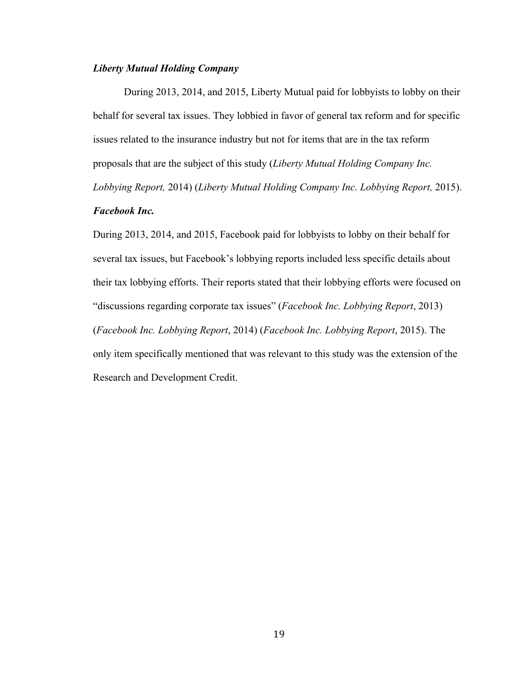# *Liberty Mutual Holding Company*

During 2013, 2014, and 2015, Liberty Mutual paid for lobbyists to lobby on their behalf for several tax issues. They lobbied in favor of general tax reform and for specific issues related to the insurance industry but not for items that are in the tax reform proposals that are the subject of this study (*Liberty Mutual Holding Company Inc. Lobbying Report,* 2014) (*Liberty Mutual Holding Company Inc. Lobbying Report,* 2015).

# *Facebook Inc.*

During 2013, 2014, and 2015, Facebook paid for lobbyists to lobby on their behalf for several tax issues, but Facebook's lobbying reports included less specific details about their tax lobbying efforts. Their reports stated that their lobbying efforts were focused on "discussions regarding corporate tax issues" (*Facebook Inc. Lobbying Report*, 2013) (*Facebook Inc. Lobbying Report*, 2014) (*Facebook Inc. Lobbying Report*, 2015). The only item specifically mentioned that was relevant to this study was the extension of the Research and Development Credit.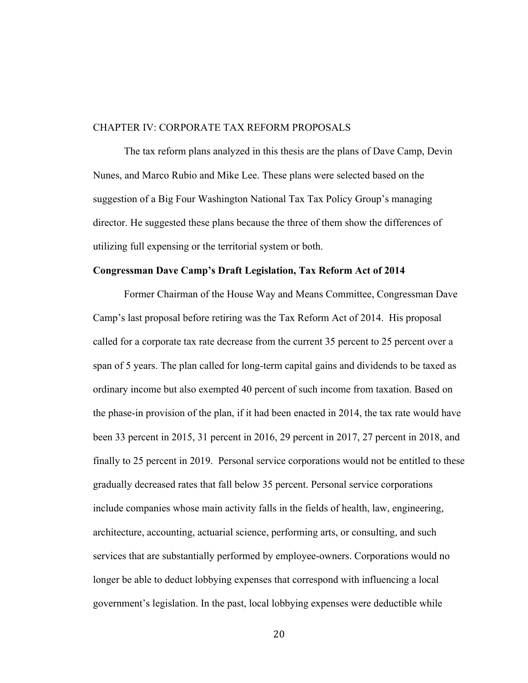#### CHAPTER IV: CORPORATE TAX REFORM PROPOSALS

The tax reform plans analyzed in this thesis are the plans of Dave Camp, Devin Nunes, and Marco Rubio and Mike Lee. These plans were selected based on the suggestion of a Big Four Washington National Tax Tax Policy Group's managing director. He suggested these plans because the three of them show the differences of utilizing full expensing or the territorial system or both.

#### **Congressman Dave Camp's Draft Legislation, Tax Reform Act of 2014**

Former Chairman of the House Way and Means Committee, Congressman Dave Camp's last proposal before retiring was the Tax Reform Act of 2014. His proposal called for a corporate tax rate decrease from the current 35 percent to 25 percent over a span of 5 years. The plan called for long-term capital gains and dividends to be taxed as ordinary income but also exempted 40 percent of such income from taxation. Based on the phase-in provision of the plan, if it had been enacted in 2014, the tax rate would have been 33 percent in 2015, 31 percent in 2016, 29 percent in 2017, 27 percent in 2018, and finally to 25 percent in 2019. Personal service corporations would not be entitled to these gradually decreased rates that fall below 35 percent. Personal service corporations include companies whose main activity falls in the fields of health, law, engineering, architecture, accounting, actuarial science, performing arts, or consulting, and such services that are substantially performed by employee-owners. Corporations would no longer be able to deduct lobbying expenses that correspond with influencing a local government's legislation. In the past, local lobbying expenses were deductible while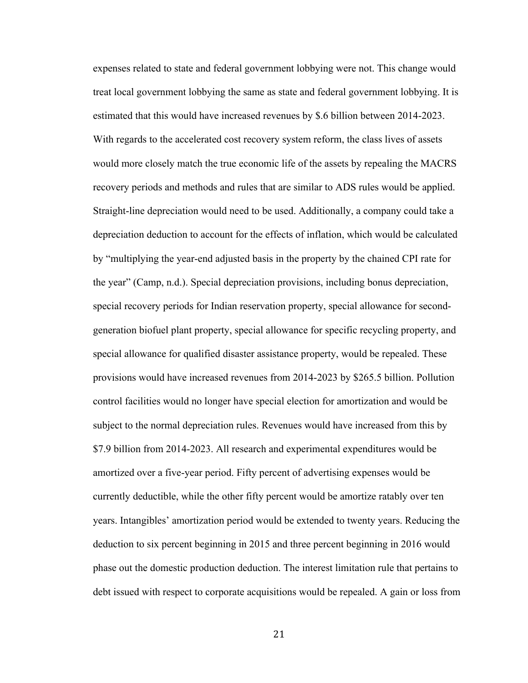expenses related to state and federal government lobbying were not. This change would treat local government lobbying the same as state and federal government lobbying. It is estimated that this would have increased revenues by \$.6 billion between 2014-2023. With regards to the accelerated cost recovery system reform, the class lives of assets would more closely match the true economic life of the assets by repealing the MACRS recovery periods and methods and rules that are similar to ADS rules would be applied. Straight-line depreciation would need to be used. Additionally, a company could take a depreciation deduction to account for the effects of inflation, which would be calculated by "multiplying the year-end adjusted basis in the property by the chained CPI rate for the year" (Camp, n.d.). Special depreciation provisions, including bonus depreciation, special recovery periods for Indian reservation property, special allowance for secondgeneration biofuel plant property, special allowance for specific recycling property, and special allowance for qualified disaster assistance property, would be repealed. These provisions would have increased revenues from 2014-2023 by \$265.5 billion. Pollution control facilities would no longer have special election for amortization and would be subject to the normal depreciation rules. Revenues would have increased from this by \$7.9 billion from 2014-2023. All research and experimental expenditures would be amortized over a five-year period. Fifty percent of advertising expenses would be currently deductible, while the other fifty percent would be amortize ratably over ten years. Intangibles' amortization period would be extended to twenty years. Reducing the deduction to six percent beginning in 2015 and three percent beginning in 2016 would phase out the domestic production deduction. The interest limitation rule that pertains to debt issued with respect to corporate acquisitions would be repealed. A gain or loss from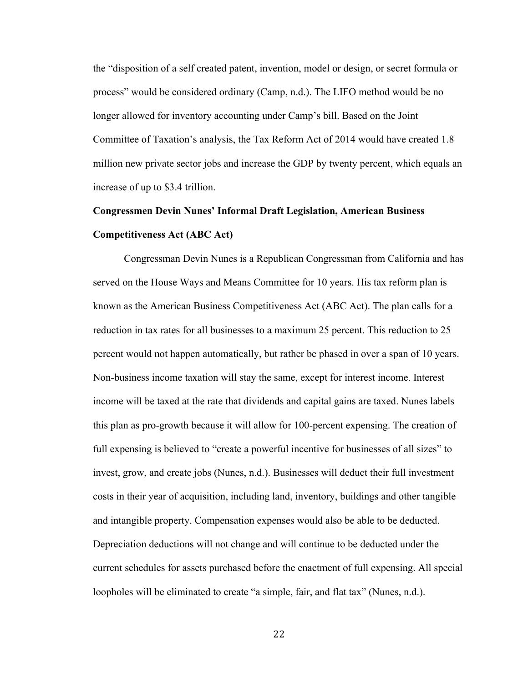the "disposition of a self created patent, invention, model or design, or secret formula or process" would be considered ordinary (Camp, n.d.). The LIFO method would be no longer allowed for inventory accounting under Camp's bill. Based on the Joint Committee of Taxation's analysis, the Tax Reform Act of 2014 would have created 1.8 million new private sector jobs and increase the GDP by twenty percent, which equals an increase of up to \$3.4 trillion.

# **Congressmen Devin Nunes' Informal Draft Legislation, American Business Competitiveness Act (ABC Act)**

Congressman Devin Nunes is a Republican Congressman from California and has served on the House Ways and Means Committee for 10 years. His tax reform plan is known as the American Business Competitiveness Act (ABC Act). The plan calls for a reduction in tax rates for all businesses to a maximum 25 percent. This reduction to 25 percent would not happen automatically, but rather be phased in over a span of 10 years. Non-business income taxation will stay the same, except for interest income. Interest income will be taxed at the rate that dividends and capital gains are taxed. Nunes labels this plan as pro-growth because it will allow for 100-percent expensing. The creation of full expensing is believed to "create a powerful incentive for businesses of all sizes" to invest, grow, and create jobs (Nunes, n.d.). Businesses will deduct their full investment costs in their year of acquisition, including land, inventory, buildings and other tangible and intangible property. Compensation expenses would also be able to be deducted. Depreciation deductions will not change and will continue to be deducted under the current schedules for assets purchased before the enactment of full expensing. All special loopholes will be eliminated to create "a simple, fair, and flat tax" (Nunes, n.d.).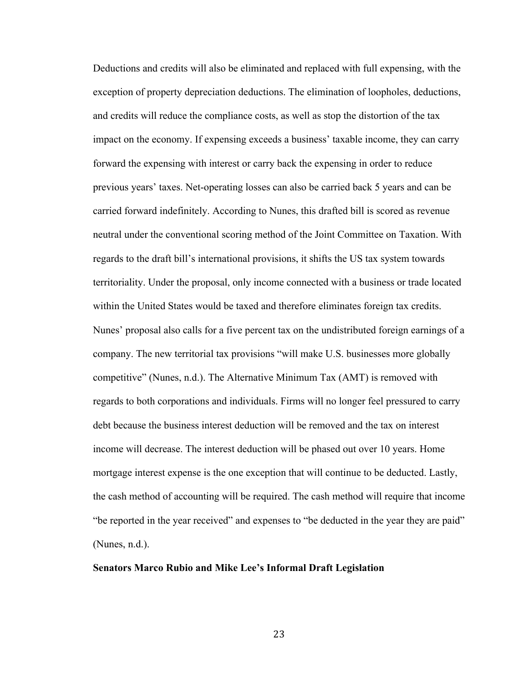Deductions and credits will also be eliminated and replaced with full expensing, with the exception of property depreciation deductions. The elimination of loopholes, deductions, and credits will reduce the compliance costs, as well as stop the distortion of the tax impact on the economy. If expensing exceeds a business' taxable income, they can carry forward the expensing with interest or carry back the expensing in order to reduce previous years' taxes. Net-operating losses can also be carried back 5 years and can be carried forward indefinitely. According to Nunes, this drafted bill is scored as revenue neutral under the conventional scoring method of the Joint Committee on Taxation. With regards to the draft bill's international provisions, it shifts the US tax system towards territoriality. Under the proposal, only income connected with a business or trade located within the United States would be taxed and therefore eliminates foreign tax credits. Nunes' proposal also calls for a five percent tax on the undistributed foreign earnings of a company. The new territorial tax provisions "will make U.S. businesses more globally competitive" (Nunes, n.d.). The Alternative Minimum Tax (AMT) is removed with regards to both corporations and individuals. Firms will no longer feel pressured to carry debt because the business interest deduction will be removed and the tax on interest income will decrease. The interest deduction will be phased out over 10 years. Home mortgage interest expense is the one exception that will continue to be deducted. Lastly, the cash method of accounting will be required. The cash method will require that income "be reported in the year received" and expenses to "be deducted in the year they are paid" (Nunes, n.d.).

#### **Senators Marco Rubio and Mike Lee's Informal Draft Legislation**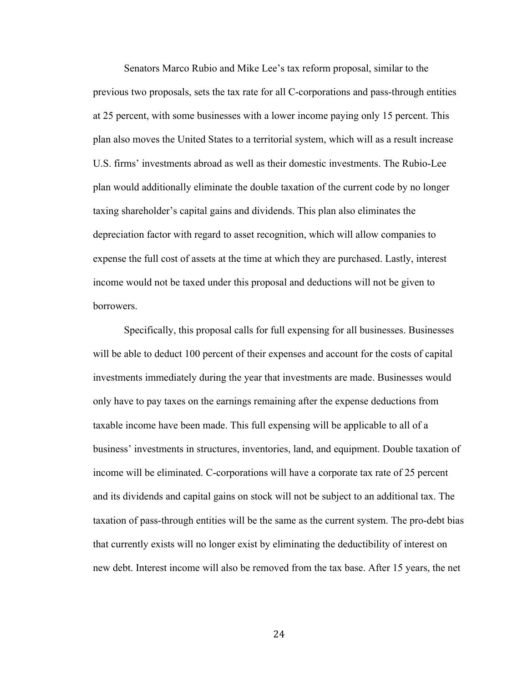Senators Marco Rubio and Mike Lee's tax reform proposal, similar to the previous two proposals, sets the tax rate for all C-corporations and pass-through entities at 25 percent, with some businesses with a lower income paying only 15 percent. This plan also moves the United States to a territorial system, which will as a result increase U.S. firms' investments abroad as well as their domestic investments. The Rubio-Lee plan would additionally eliminate the double taxation of the current code by no longer taxing shareholder's capital gains and dividends. This plan also eliminates the depreciation factor with regard to asset recognition, which will allow companies to expense the full cost of assets at the time at which they are purchased. Lastly, interest income would not be taxed under this proposal and deductions will not be given to borrowers.

Specifically, this proposal calls for full expensing for all businesses. Businesses will be able to deduct 100 percent of their expenses and account for the costs of capital investments immediately during the year that investments are made. Businesses would only have to pay taxes on the earnings remaining after the expense deductions from taxable income have been made. This full expensing will be applicable to all of a business' investments in structures, inventories, land, and equipment. Double taxation of income will be eliminated. C-corporations will have a corporate tax rate of 25 percent and its dividends and capital gains on stock will not be subject to an additional tax. The taxation of pass-through entities will be the same as the current system. The pro-debt bias that currently exists will no longer exist by eliminating the deductibility of interest on new debt. Interest income will also be removed from the tax base. After 15 years, the net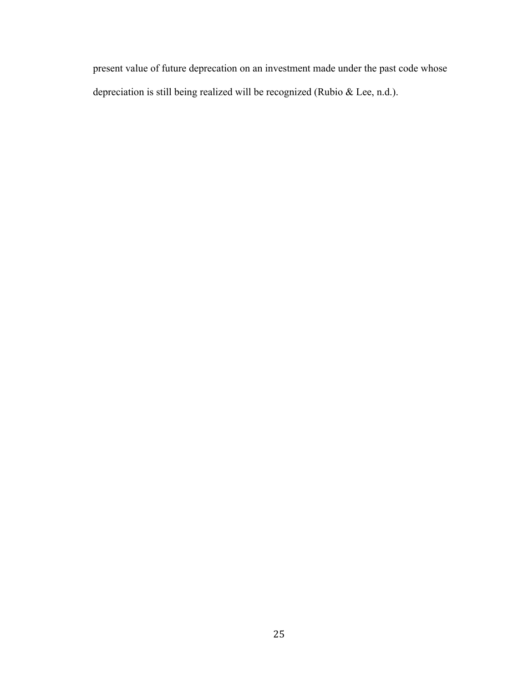present value of future deprecation on an investment made under the past code whose depreciation is still being realized will be recognized (Rubio & Lee, n.d.).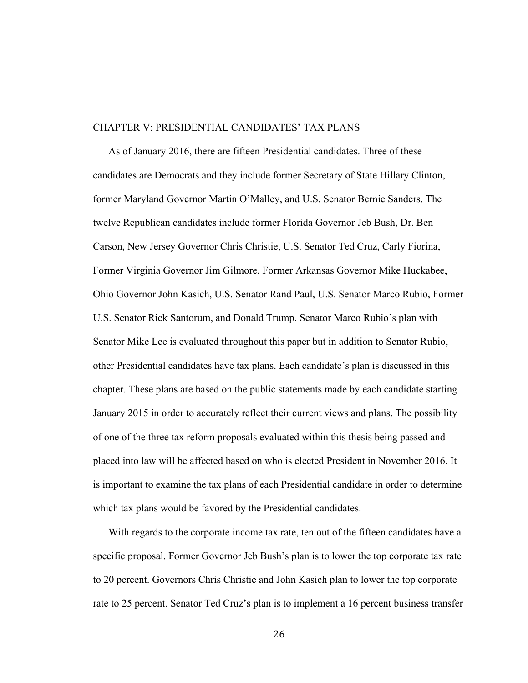#### CHAPTER V: PRESIDENTIAL CANDIDATES' TAX PLANS

As of January 2016, there are fifteen Presidential candidates. Three of these candidates are Democrats and they include former Secretary of State Hillary Clinton, former Maryland Governor Martin O'Malley, and U.S. Senator Bernie Sanders. The twelve Republican candidates include former Florida Governor Jeb Bush, Dr. Ben Carson, New Jersey Governor Chris Christie, U.S. Senator Ted Cruz, Carly Fiorina, Former Virginia Governor Jim Gilmore, Former Arkansas Governor Mike Huckabee, Ohio Governor John Kasich, U.S. Senator Rand Paul, U.S. Senator Marco Rubio, Former U.S. Senator Rick Santorum, and Donald Trump. Senator Marco Rubio's plan with Senator Mike Lee is evaluated throughout this paper but in addition to Senator Rubio, other Presidential candidates have tax plans. Each candidate's plan is discussed in this chapter. These plans are based on the public statements made by each candidate starting January 2015 in order to accurately reflect their current views and plans. The possibility of one of the three tax reform proposals evaluated within this thesis being passed and placed into law will be affected based on who is elected President in November 2016. It is important to examine the tax plans of each Presidential candidate in order to determine which tax plans would be favored by the Presidential candidates.

With regards to the corporate income tax rate, ten out of the fifteen candidates have a specific proposal. Former Governor Jeb Bush's plan is to lower the top corporate tax rate to 20 percent. Governors Chris Christie and John Kasich plan to lower the top corporate rate to 25 percent. Senator Ted Cruz's plan is to implement a 16 percent business transfer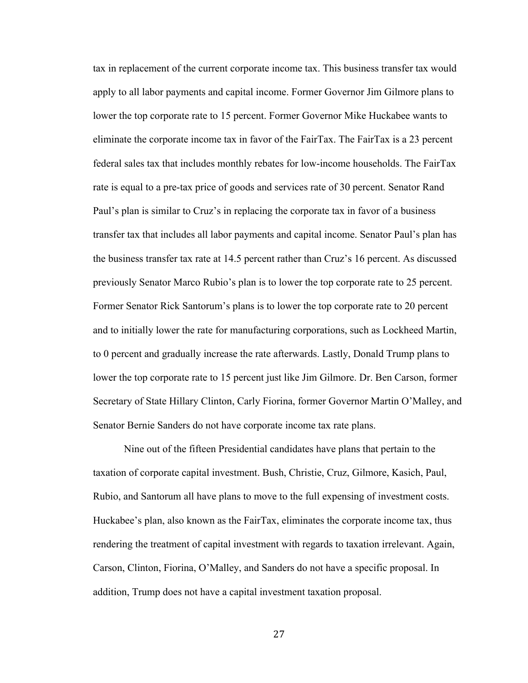tax in replacement of the current corporate income tax. This business transfer tax would apply to all labor payments and capital income. Former Governor Jim Gilmore plans to lower the top corporate rate to 15 percent. Former Governor Mike Huckabee wants to eliminate the corporate income tax in favor of the FairTax. The FairTax is a 23 percent federal sales tax that includes monthly rebates for low-income households. The FairTax rate is equal to a pre-tax price of goods and services rate of 30 percent. Senator Rand Paul's plan is similar to Cruz's in replacing the corporate tax in favor of a business transfer tax that includes all labor payments and capital income. Senator Paul's plan has the business transfer tax rate at 14.5 percent rather than Cruz's 16 percent. As discussed previously Senator Marco Rubio's plan is to lower the top corporate rate to 25 percent. Former Senator Rick Santorum's plans is to lower the top corporate rate to 20 percent and to initially lower the rate for manufacturing corporations, such as Lockheed Martin, to 0 percent and gradually increase the rate afterwards. Lastly, Donald Trump plans to lower the top corporate rate to 15 percent just like Jim Gilmore. Dr. Ben Carson, former Secretary of State Hillary Clinton, Carly Fiorina, former Governor Martin O'Malley, and Senator Bernie Sanders do not have corporate income tax rate plans.

Nine out of the fifteen Presidential candidates have plans that pertain to the taxation of corporate capital investment. Bush, Christie, Cruz, Gilmore, Kasich, Paul, Rubio, and Santorum all have plans to move to the full expensing of investment costs. Huckabee's plan, also known as the FairTax, eliminates the corporate income tax, thus rendering the treatment of capital investment with regards to taxation irrelevant. Again, Carson, Clinton, Fiorina, O'Malley, and Sanders do not have a specific proposal. In addition, Trump does not have a capital investment taxation proposal.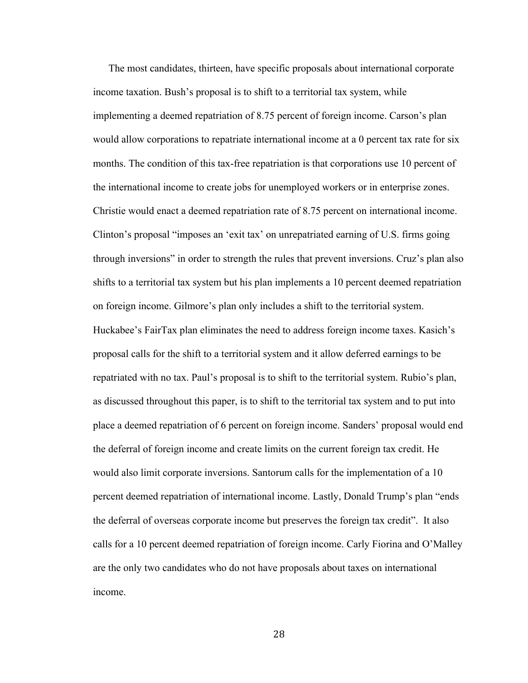The most candidates, thirteen, have specific proposals about international corporate income taxation. Bush's proposal is to shift to a territorial tax system, while implementing a deemed repatriation of 8.75 percent of foreign income. Carson's plan would allow corporations to repatriate international income at a 0 percent tax rate for six months. The condition of this tax-free repatriation is that corporations use 10 percent of the international income to create jobs for unemployed workers or in enterprise zones. Christie would enact a deemed repatriation rate of 8.75 percent on international income. Clinton's proposal "imposes an 'exit tax' on unrepatriated earning of U.S. firms going through inversions" in order to strength the rules that prevent inversions. Cruz's plan also shifts to a territorial tax system but his plan implements a 10 percent deemed repatriation on foreign income. Gilmore's plan only includes a shift to the territorial system. Huckabee's FairTax plan eliminates the need to address foreign income taxes. Kasich's proposal calls for the shift to a territorial system and it allow deferred earnings to be repatriated with no tax. Paul's proposal is to shift to the territorial system. Rubio's plan, as discussed throughout this paper, is to shift to the territorial tax system and to put into place a deemed repatriation of 6 percent on foreign income. Sanders' proposal would end the deferral of foreign income and create limits on the current foreign tax credit. He would also limit corporate inversions. Santorum calls for the implementation of a 10 percent deemed repatriation of international income. Lastly, Donald Trump's plan "ends the deferral of overseas corporate income but preserves the foreign tax credit". It also calls for a 10 percent deemed repatriation of foreign income. Carly Fiorina and O'Malley are the only two candidates who do not have proposals about taxes on international income.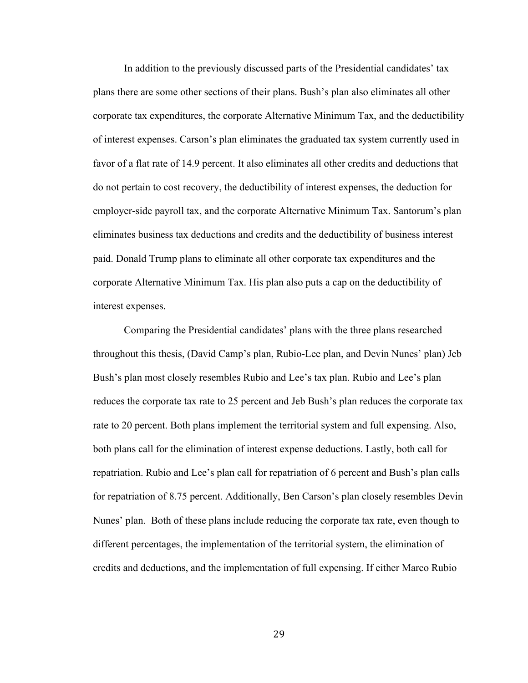In addition to the previously discussed parts of the Presidential candidates' tax plans there are some other sections of their plans. Bush's plan also eliminates all other corporate tax expenditures, the corporate Alternative Minimum Tax, and the deductibility of interest expenses. Carson's plan eliminates the graduated tax system currently used in favor of a flat rate of 14.9 percent. It also eliminates all other credits and deductions that do not pertain to cost recovery, the deductibility of interest expenses, the deduction for employer-side payroll tax, and the corporate Alternative Minimum Tax. Santorum's plan eliminates business tax deductions and credits and the deductibility of business interest paid. Donald Trump plans to eliminate all other corporate tax expenditures and the corporate Alternative Minimum Tax. His plan also puts a cap on the deductibility of interest expenses.

Comparing the Presidential candidates' plans with the three plans researched throughout this thesis, (David Camp's plan, Rubio-Lee plan, and Devin Nunes' plan) Jeb Bush's plan most closely resembles Rubio and Lee's tax plan. Rubio and Lee's plan reduces the corporate tax rate to 25 percent and Jeb Bush's plan reduces the corporate tax rate to 20 percent. Both plans implement the territorial system and full expensing. Also, both plans call for the elimination of interest expense deductions. Lastly, both call for repatriation. Rubio and Lee's plan call for repatriation of 6 percent and Bush's plan calls for repatriation of 8.75 percent. Additionally, Ben Carson's plan closely resembles Devin Nunes' plan. Both of these plans include reducing the corporate tax rate, even though to different percentages, the implementation of the territorial system, the elimination of credits and deductions, and the implementation of full expensing. If either Marco Rubio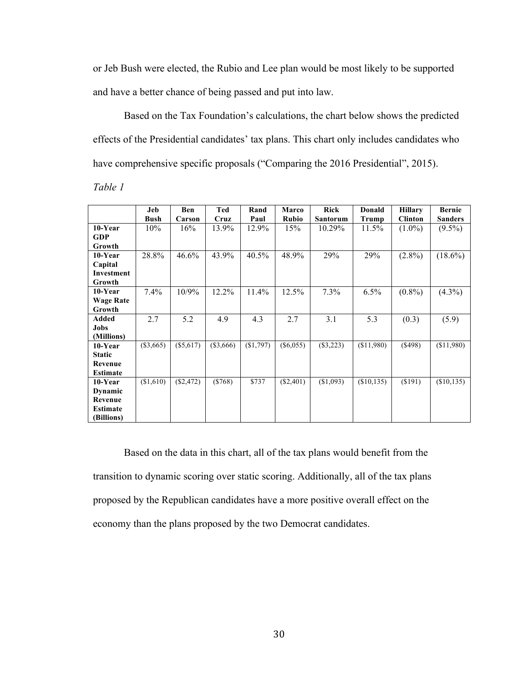or Jeb Bush were elected, the Rubio and Lee plan would be most likely to be supported and have a better chance of being passed and put into law.

Based on the Tax Foundation's calculations, the chart below shows the predicted effects of the Presidential candidates' tax plans. This chart only includes candidates who have comprehensive specific proposals ("Comparing the 2016 Presidential", 2015).

*Table 1* 

|                  | Jeb         | Ben         | Ted       | Rand      | <b>Marco</b> | <b>Rick</b>     | Donald     | <b>Hillary</b> | <b>Bernie</b>  |
|------------------|-------------|-------------|-----------|-----------|--------------|-----------------|------------|----------------|----------------|
|                  | <b>Bush</b> | Carson      | Cruz      | Paul      | <b>Rubio</b> | <b>Santorum</b> | Trump      | <b>Clinton</b> | <b>Sanders</b> |
| $10$ -Year       | 10%         | 16%         | 13.9%     | 12.9%     | 15%          | 10.29%          | 11.5%      | $(1.0\%)$      | $(9.5\%)$      |
| <b>GDP</b>       |             |             |           |           |              |                 |            |                |                |
| Growth           |             |             |           |           |              |                 |            |                |                |
| 10-Year          | 28.8%       | $46.6\%$    | 43.9%     | $40.5\%$  | 48.9%        | 29%             | 29%        | $(2.8\%)$      | $(18.6\%)$     |
| Capital          |             |             |           |           |              |                 |            |                |                |
| Investment       |             |             |           |           |              |                 |            |                |                |
| Growth           |             |             |           |           |              |                 |            |                |                |
| 10-Year          | 7.4%        | 10/9%       | 12.2%     | $11.4\%$  | 12.5%        | $7.3\%$         | 6.5%       | $(0.8\%)$      | $(4.3\%)$      |
| <b>Wage Rate</b> |             |             |           |           |              |                 |            |                |                |
| Growth           |             |             |           |           |              |                 |            |                |                |
| Added            | 2.7         | 5.2         | 4.9       | 4.3       | 2.7          | 3.1             | 5.3        | (0.3)          | (5.9)          |
| Jobs             |             |             |           |           |              |                 |            |                |                |
| (Millions)       |             |             |           |           |              |                 |            |                |                |
| 10-Year          | $(\$3,665)$ | $(\$5,617)$ | (\$3,666) | (\$1,797) | $(\$6,055)$  | $(\$3,223)$     | (\$11,980) | $($ \$498)     | (\$11,980)     |
| <b>Static</b>    |             |             |           |           |              |                 |            |                |                |
| Revenue          |             |             |           |           |              |                 |            |                |                |
| <b>Estimate</b>  |             |             |           |           |              |                 |            |                |                |
| 10-Year          | (\$1,610)   | $(\$2,472)$ | ( \$768)  | \$737     | $(\$2,401)$  | (\$1,093)       | (\$10,135) | (S191)         | (\$10,135)     |
| Dynamic          |             |             |           |           |              |                 |            |                |                |
| Revenue          |             |             |           |           |              |                 |            |                |                |
| <b>Estimate</b>  |             |             |           |           |              |                 |            |                |                |
| (Billions)       |             |             |           |           |              |                 |            |                |                |

Based on the data in this chart, all of the tax plans would benefit from the transition to dynamic scoring over static scoring. Additionally, all of the tax plans proposed by the Republican candidates have a more positive overall effect on the economy than the plans proposed by the two Democrat candidates.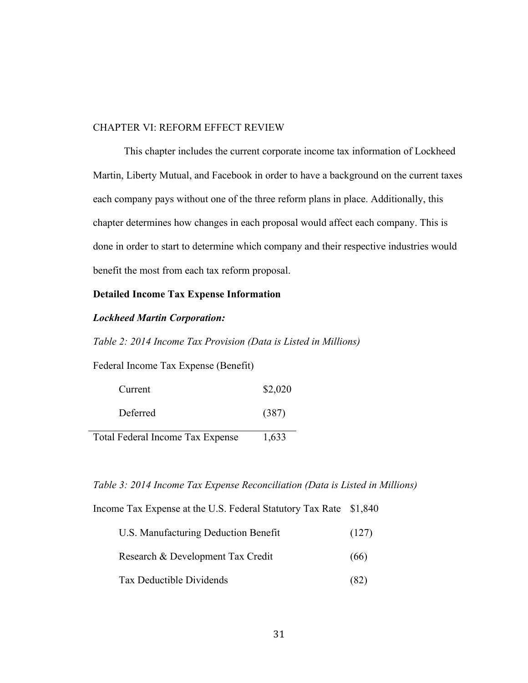#### CHAPTER VI: REFORM EFFECT REVIEW

This chapter includes the current corporate income tax information of Lockheed Martin, Liberty Mutual, and Facebook in order to have a background on the current taxes each company pays without one of the three reform plans in place. Additionally, this chapter determines how changes in each proposal would affect each company. This is done in order to start to determine which company and their respective industries would benefit the most from each tax reform proposal.

# **Detailed Income Tax Expense Information**

# *Lockheed Martin Corporation:*

*Table 2: 2014 Income Tax Provision (Data is Listed in Millions)*

Federal Income Tax Expense (Benefit)

| Current  | \$2,020 |
|----------|---------|
| Deferred | (387)   |

Total Federal Income Tax Expense 1,633

### *Table 3: 2014 Income Tax Expense Reconciliation (Data is Listed in Millions)*

Income Tax Expense at the U.S. Federal Statutory Tax Rate \$1,840

| U.S. Manufacturing Deduction Benefit | (127) |
|--------------------------------------|-------|
| Research & Development Tax Credit    | (66)  |
| Tax Deductible Dividends             | (82)  |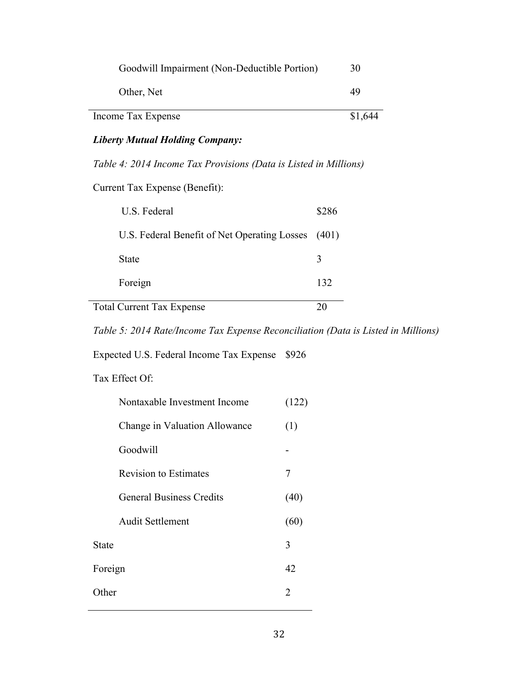| Goodwill Impairment (Non-Deductible Portion)                     | 30      |
|------------------------------------------------------------------|---------|
| Other, Net                                                       | 49      |
| Income Tax Expense                                               | \$1,644 |
| <b>Liberty Mutual Holding Company:</b>                           |         |
| Table 4: 2014 Income Tax Provisions (Data is Listed in Millions) |         |
| Current Tax Expense (Benefit):                                   |         |

| U.S. Federal                                       | \$286 |
|----------------------------------------------------|-------|
| U.S. Federal Benefit of Net Operating Losses (401) |       |
| State                                              | 3     |
| Foreign                                            | 132   |
| <b>Total Current Tax Expense</b>                   |       |

*Table 5: 2014 Rate/Income Tax Expense Reconciliation (Data is Listed in Millions)*

Expected U.S. Federal Income Tax Expense \$926

# Tax Effect Of:

|         | Nontaxable Investment Income    | (122) |
|---------|---------------------------------|-------|
|         | Change in Valuation Allowance   | (1)   |
|         | Goodwill                        |       |
|         | <b>Revision to Estimates</b>    | 7     |
|         | <b>General Business Credits</b> | (40)  |
|         | <b>Audit Settlement</b>         | (60)  |
| State   |                                 | 3     |
| Foreign |                                 | 42    |
| Other   |                                 | 2     |
|         |                                 |       |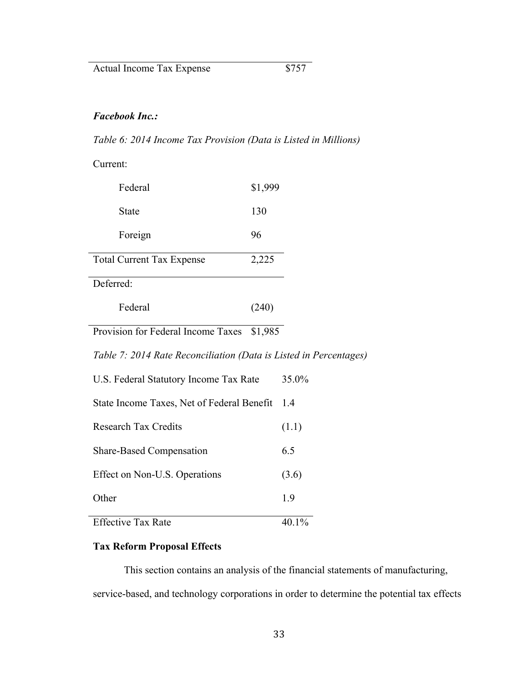# *Facebook Inc.:*

*Table 6: 2014 Income Tax Provision (Data is Listed in Millions)*

Current:

| Federal                          | \$1,999 |
|----------------------------------|---------|
| State                            | 130     |
| Foreign                          | 96      |
| <b>Total Current Tax Expense</b> | 2,225   |
| Deferred:                        |         |
| Federal                          | 240)    |

Provision for Federal Income Taxes \$1,985

*Table 7: 2014 Rate Reconciliation (Data is Listed in Percentages)*

| U.S. Federal Statutory Income Tax Rate     | 35.0% |
|--------------------------------------------|-------|
| State Income Taxes, Net of Federal Benefit | 1.4   |
| <b>Research Tax Credits</b>                | (1.1) |
| <b>Share-Based Compensation</b>            | 65    |
| Effect on Non-U.S. Operations              | (3.6) |
| Other                                      | 19    |
| <b>Effective Tax Rate</b>                  |       |

# **Tax Reform Proposal Effects**

This section contains an analysis of the financial statements of manufacturing, service-based, and technology corporations in order to determine the potential tax effects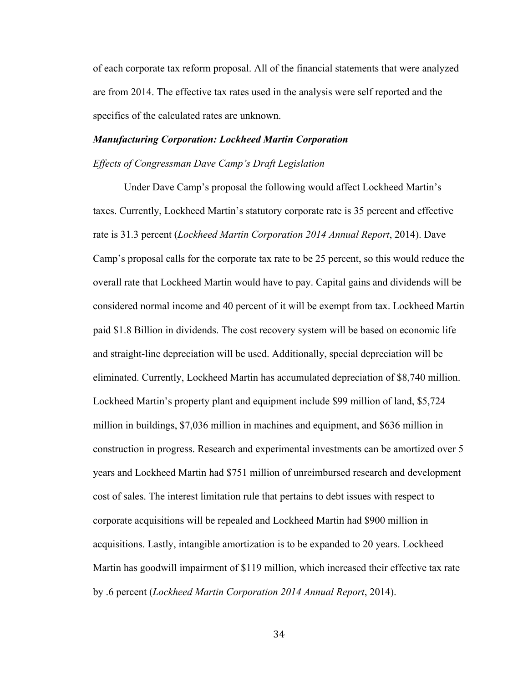of each corporate tax reform proposal. All of the financial statements that were analyzed are from 2014. The effective tax rates used in the analysis were self reported and the specifics of the calculated rates are unknown.

# *Manufacturing Corporation: Lockheed Martin Corporation*

# *Effects of Congressman Dave Camp's Draft Legislation*

Under Dave Camp's proposal the following would affect Lockheed Martin's taxes. Currently, Lockheed Martin's statutory corporate rate is 35 percent and effective rate is 31.3 percent (*Lockheed Martin Corporation 2014 Annual Report*, 2014). Dave Camp's proposal calls for the corporate tax rate to be 25 percent, so this would reduce the overall rate that Lockheed Martin would have to pay. Capital gains and dividends will be considered normal income and 40 percent of it will be exempt from tax. Lockheed Martin paid \$1.8 Billion in dividends. The cost recovery system will be based on economic life and straight-line depreciation will be used. Additionally, special depreciation will be eliminated. Currently, Lockheed Martin has accumulated depreciation of \$8,740 million. Lockheed Martin's property plant and equipment include \$99 million of land, \$5,724 million in buildings, \$7,036 million in machines and equipment, and \$636 million in construction in progress. Research and experimental investments can be amortized over 5 years and Lockheed Martin had \$751 million of unreimbursed research and development cost of sales. The interest limitation rule that pertains to debt issues with respect to corporate acquisitions will be repealed and Lockheed Martin had \$900 million in acquisitions. Lastly, intangible amortization is to be expanded to 20 years. Lockheed Martin has goodwill impairment of \$119 million, which increased their effective tax rate by .6 percent (*Lockheed Martin Corporation 2014 Annual Report*, 2014).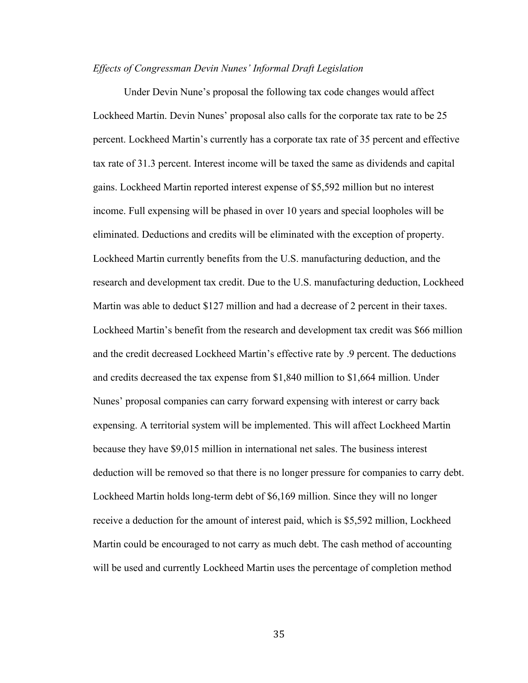# *Effects of Congressman Devin Nunes' Informal Draft Legislation*

Under Devin Nune's proposal the following tax code changes would affect Lockheed Martin. Devin Nunes' proposal also calls for the corporate tax rate to be 25 percent. Lockheed Martin's currently has a corporate tax rate of 35 percent and effective tax rate of 31.3 percent. Interest income will be taxed the same as dividends and capital gains. Lockheed Martin reported interest expense of \$5,592 million but no interest income. Full expensing will be phased in over 10 years and special loopholes will be eliminated. Deductions and credits will be eliminated with the exception of property. Lockheed Martin currently benefits from the U.S. manufacturing deduction, and the research and development tax credit. Due to the U.S. manufacturing deduction, Lockheed Martin was able to deduct \$127 million and had a decrease of 2 percent in their taxes. Lockheed Martin's benefit from the research and development tax credit was \$66 million and the credit decreased Lockheed Martin's effective rate by .9 percent. The deductions and credits decreased the tax expense from \$1,840 million to \$1,664 million. Under Nunes' proposal companies can carry forward expensing with interest or carry back expensing. A territorial system will be implemented. This will affect Lockheed Martin because they have \$9,015 million in international net sales. The business interest deduction will be removed so that there is no longer pressure for companies to carry debt. Lockheed Martin holds long-term debt of \$6,169 million. Since they will no longer receive a deduction for the amount of interest paid, which is \$5,592 million, Lockheed Martin could be encouraged to not carry as much debt. The cash method of accounting will be used and currently Lockheed Martin uses the percentage of completion method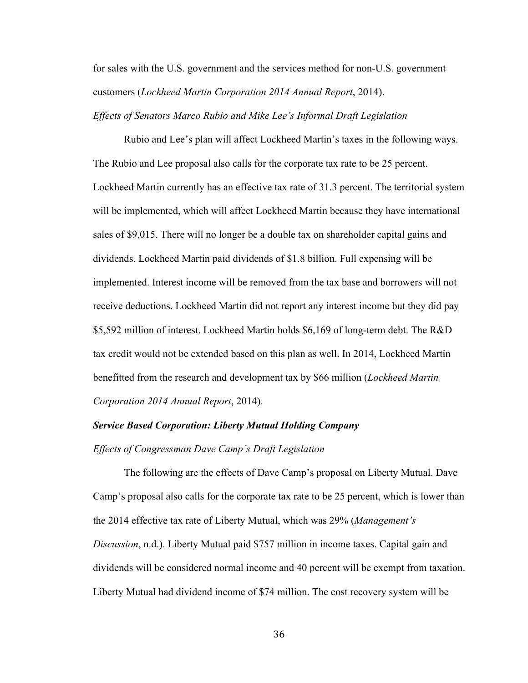for sales with the U.S. government and the services method for non-U.S. government customers (*Lockheed Martin Corporation 2014 Annual Report*, 2014).

*Effects of Senators Marco Rubio and Mike Lee's Informal Draft Legislation*

Rubio and Lee's plan will affect Lockheed Martin's taxes in the following ways. The Rubio and Lee proposal also calls for the corporate tax rate to be 25 percent. Lockheed Martin currently has an effective tax rate of 31.3 percent. The territorial system will be implemented, which will affect Lockheed Martin because they have international sales of \$9,015. There will no longer be a double tax on shareholder capital gains and dividends. Lockheed Martin paid dividends of \$1.8 billion. Full expensing will be implemented. Interest income will be removed from the tax base and borrowers will not receive deductions. Lockheed Martin did not report any interest income but they did pay \$5,592 million of interest. Lockheed Martin holds \$6,169 of long-term debt. The R&D tax credit would not be extended based on this plan as well. In 2014, Lockheed Martin benefitted from the research and development tax by \$66 million (*Lockheed Martin Corporation 2014 Annual Report*, 2014).

# *Service Based Corporation: Liberty Mutual Holding Company*

*Effects of Congressman Dave Camp's Draft Legislation* 

The following are the effects of Dave Camp's proposal on Liberty Mutual. Dave Camp's proposal also calls for the corporate tax rate to be 25 percent, which is lower than the 2014 effective tax rate of Liberty Mutual, which was 29% (*Management's Discussion*, n.d.). Liberty Mutual paid \$757 million in income taxes. Capital gain and dividends will be considered normal income and 40 percent will be exempt from taxation. Liberty Mutual had dividend income of \$74 million. The cost recovery system will be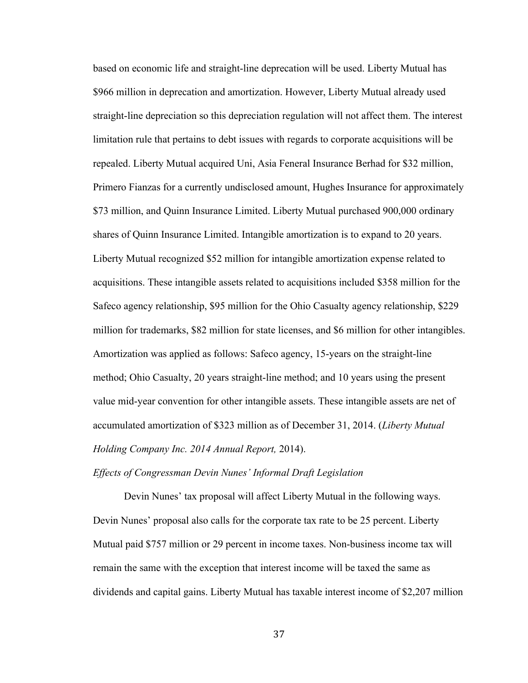based on economic life and straight-line deprecation will be used. Liberty Mutual has \$966 million in deprecation and amortization. However, Liberty Mutual already used straight-line depreciation so this depreciation regulation will not affect them. The interest limitation rule that pertains to debt issues with regards to corporate acquisitions will be repealed. Liberty Mutual acquired Uni, Asia Feneral Insurance Berhad for \$32 million, Primero Fianzas for a currently undisclosed amount, Hughes Insurance for approximately \$73 million, and Quinn Insurance Limited. Liberty Mutual purchased 900,000 ordinary shares of Quinn Insurance Limited. Intangible amortization is to expand to 20 years. Liberty Mutual recognized \$52 million for intangible amortization expense related to acquisitions. These intangible assets related to acquisitions included \$358 million for the Safeco agency relationship, \$95 million for the Ohio Casualty agency relationship, \$229 million for trademarks, \$82 million for state licenses, and \$6 million for other intangibles. Amortization was applied as follows: Safeco agency, 15-years on the straight-line method; Ohio Casualty, 20 years straight-line method; and 10 years using the present value mid-year convention for other intangible assets. These intangible assets are net of accumulated amortization of \$323 million as of December 31, 2014. (*Liberty Mutual Holding Company Inc. 2014 Annual Report,* 2014).

*Effects of Congressman Devin Nunes' Informal Draft Legislation*

Devin Nunes' tax proposal will affect Liberty Mutual in the following ways. Devin Nunes' proposal also calls for the corporate tax rate to be 25 percent. Liberty Mutual paid \$757 million or 29 percent in income taxes. Non-business income tax will remain the same with the exception that interest income will be taxed the same as dividends and capital gains. Liberty Mutual has taxable interest income of \$2,207 million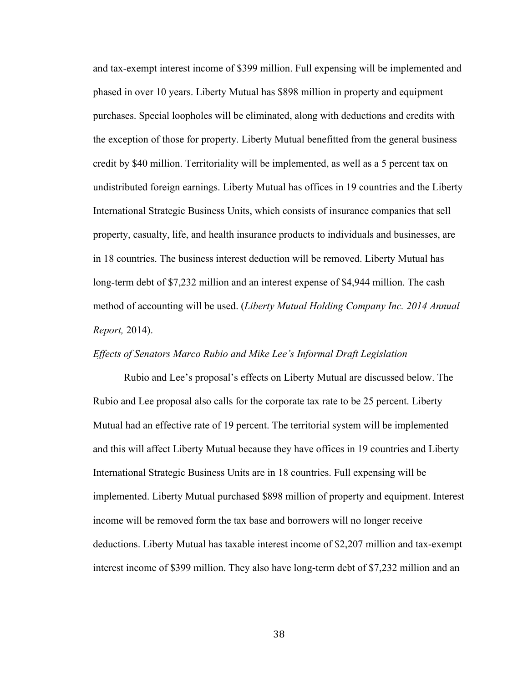and tax-exempt interest income of \$399 million. Full expensing will be implemented and phased in over 10 years. Liberty Mutual has \$898 million in property and equipment purchases. Special loopholes will be eliminated, along with deductions and credits with the exception of those for property. Liberty Mutual benefitted from the general business credit by \$40 million. Territoriality will be implemented, as well as a 5 percent tax on undistributed foreign earnings. Liberty Mutual has offices in 19 countries and the Liberty International Strategic Business Units, which consists of insurance companies that sell property, casualty, life, and health insurance products to individuals and businesses, are in 18 countries. The business interest deduction will be removed. Liberty Mutual has long-term debt of \$7,232 million and an interest expense of \$4,944 million. The cash method of accounting will be used. (*Liberty Mutual Holding Company Inc. 2014 Annual Report,* 2014).

# *Effects of Senators Marco Rubio and Mike Lee's Informal Draft Legislation*

Rubio and Lee's proposal's effects on Liberty Mutual are discussed below. The Rubio and Lee proposal also calls for the corporate tax rate to be 25 percent. Liberty Mutual had an effective rate of 19 percent. The territorial system will be implemented and this will affect Liberty Mutual because they have offices in 19 countries and Liberty International Strategic Business Units are in 18 countries. Full expensing will be implemented. Liberty Mutual purchased \$898 million of property and equipment. Interest income will be removed form the tax base and borrowers will no longer receive deductions. Liberty Mutual has taxable interest income of \$2,207 million and tax-exempt interest income of \$399 million. They also have long-term debt of \$7,232 million and an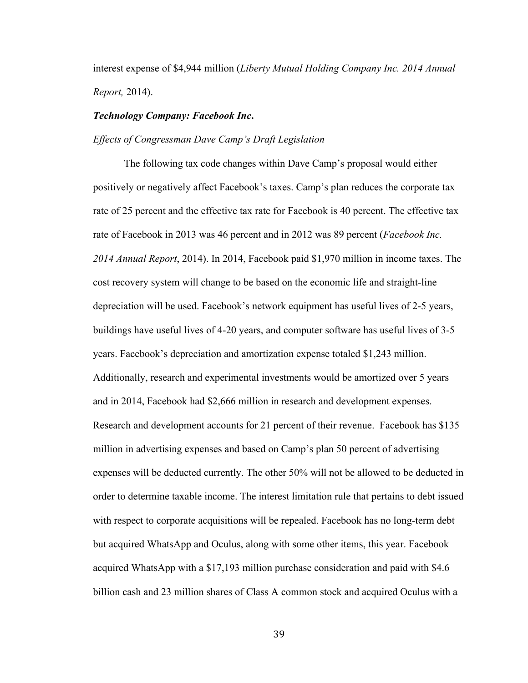interest expense of \$4,944 million (*Liberty Mutual Holding Company Inc. 2014 Annual Report,* 2014).

# *Technology Company: Facebook Inc***.**

#### *Effects of Congressman Dave Camp's Draft Legislation*

The following tax code changes within Dave Camp's proposal would either positively or negatively affect Facebook's taxes. Camp's plan reduces the corporate tax rate of 25 percent and the effective tax rate for Facebook is 40 percent. The effective tax rate of Facebook in 2013 was 46 percent and in 2012 was 89 percent (*Facebook Inc. 2014 Annual Report*, 2014). In 2014, Facebook paid \$1,970 million in income taxes. The cost recovery system will change to be based on the economic life and straight-line depreciation will be used. Facebook's network equipment has useful lives of 2-5 years, buildings have useful lives of 4-20 years, and computer software has useful lives of 3-5 years. Facebook's depreciation and amortization expense totaled \$1,243 million. Additionally, research and experimental investments would be amortized over 5 years and in 2014, Facebook had \$2,666 million in research and development expenses. Research and development accounts for 21 percent of their revenue. Facebook has \$135 million in advertising expenses and based on Camp's plan 50 percent of advertising expenses will be deducted currently. The other 50% will not be allowed to be deducted in order to determine taxable income. The interest limitation rule that pertains to debt issued with respect to corporate acquisitions will be repealed. Facebook has no long-term debt but acquired WhatsApp and Oculus, along with some other items, this year. Facebook acquired WhatsApp with a \$17,193 million purchase consideration and paid with \$4.6 billion cash and 23 million shares of Class A common stock and acquired Oculus with a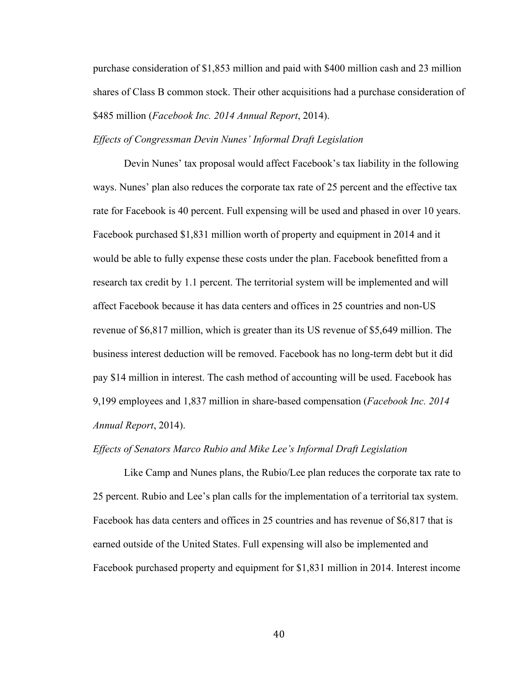purchase consideration of \$1,853 million and paid with \$400 million cash and 23 million shares of Class B common stock. Their other acquisitions had a purchase consideration of \$485 million (*Facebook Inc. 2014 Annual Report*, 2014).

# *Effects of Congressman Devin Nunes' Informal Draft Legislation*

Devin Nunes' tax proposal would affect Facebook's tax liability in the following ways. Nunes' plan also reduces the corporate tax rate of 25 percent and the effective tax rate for Facebook is 40 percent. Full expensing will be used and phased in over 10 years. Facebook purchased \$1,831 million worth of property and equipment in 2014 and it would be able to fully expense these costs under the plan. Facebook benefitted from a research tax credit by 1.1 percent. The territorial system will be implemented and will affect Facebook because it has data centers and offices in 25 countries and non-US revenue of \$6,817 million, which is greater than its US revenue of \$5,649 million. The business interest deduction will be removed. Facebook has no long-term debt but it did pay \$14 million in interest. The cash method of accounting will be used. Facebook has 9,199 employees and 1,837 million in share-based compensation (*Facebook Inc. 2014 Annual Report*, 2014).

#### *Effects of Senators Marco Rubio and Mike Lee's Informal Draft Legislation*

Like Camp and Nunes plans, the Rubio/Lee plan reduces the corporate tax rate to 25 percent. Rubio and Lee's plan calls for the implementation of a territorial tax system. Facebook has data centers and offices in 25 countries and has revenue of \$6,817 that is earned outside of the United States. Full expensing will also be implemented and Facebook purchased property and equipment for \$1,831 million in 2014. Interest income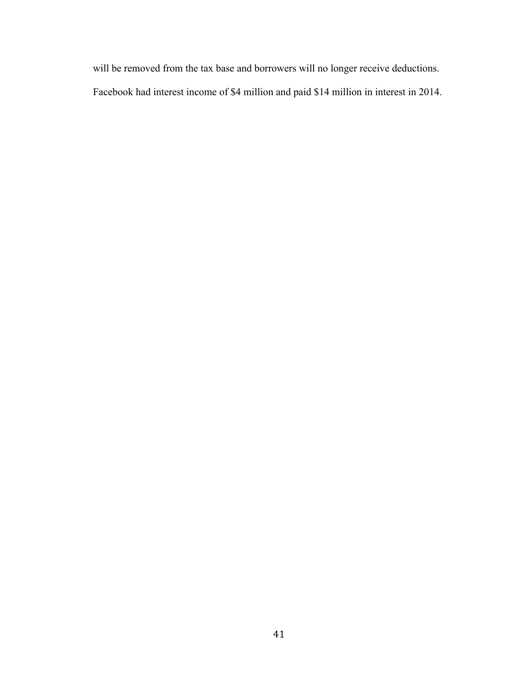will be removed from the tax base and borrowers will no longer receive deductions. Facebook had interest income of \$4 million and paid \$14 million in interest in 2014.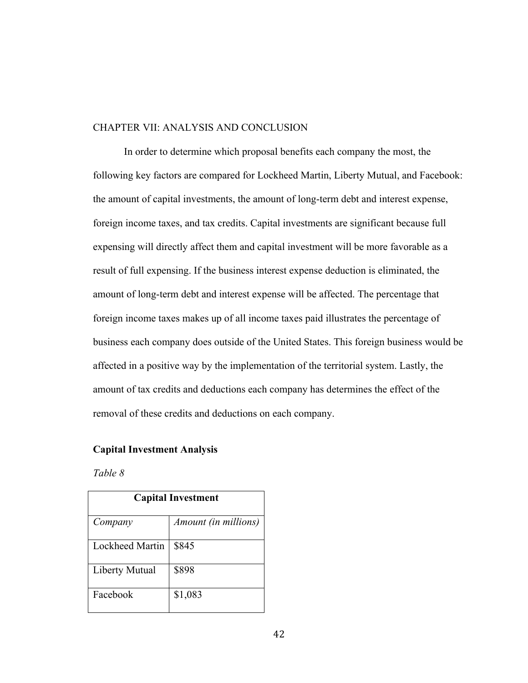# CHAPTER VII: ANALYSIS AND CONCLUSION

In order to determine which proposal benefits each company the most, the following key factors are compared for Lockheed Martin, Liberty Mutual, and Facebook: the amount of capital investments, the amount of long-term debt and interest expense, foreign income taxes, and tax credits. Capital investments are significant because full expensing will directly affect them and capital investment will be more favorable as a result of full expensing. If the business interest expense deduction is eliminated, the amount of long-term debt and interest expense will be affected. The percentage that foreign income taxes makes up of all income taxes paid illustrates the percentage of business each company does outside of the United States. This foreign business would be affected in a positive way by the implementation of the territorial system. Lastly, the amount of tax credits and deductions each company has determines the effect of the removal of these credits and deductions on each company.

#### **Capital Investment Analysis**

*Table 8* 

| <b>Capital Investment</b> |                             |  |  |
|---------------------------|-----------------------------|--|--|
| Company                   | <i>Amount (in millions)</i> |  |  |
| Lockheed Martin           | \$845                       |  |  |
| Liberty Mutual            | \$898                       |  |  |
| Facebook                  | \$1,083                     |  |  |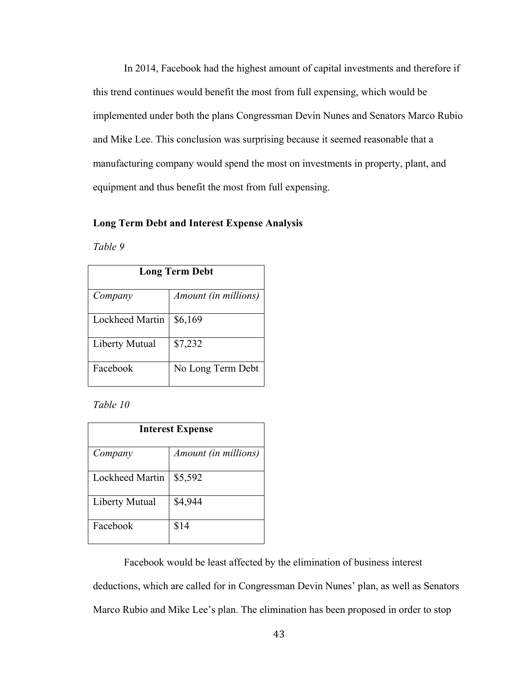In 2014, Facebook had the highest amount of capital investments and therefore if this trend continues would benefit the most from full expensing, which would be implemented under both the plans Congressman Devin Nunes and Senators Marco Rubio and Mike Lee. This conclusion was surprising because it seemed reasonable that a manufacturing company would spend the most on investments in property, plant, and equipment and thus benefit the most from full expensing.

# **Long Term Debt and Interest Expense Analysis**

*Table 9*

| <b>Long Term Debt</b> |                      |
|-----------------------|----------------------|
| Company               | Amount (in millions) |
| Lockheed Martin       | \$6,169              |
| Liberty Mutual        | \$7,232              |
| Facebook              | No Long Term Debt    |

*Table 10*

| <b>Interest Expense</b> |                      |  |
|-------------------------|----------------------|--|
| Company                 | Amount (in millions) |  |
| Lockheed Martin         | \$5,592              |  |
| Liberty Mutual          | \$4,944              |  |
| Facebook                | \$14                 |  |

Facebook would be least affected by the elimination of business interest

deductions, which are called for in Congressman Devin Nunes' plan, as well as Senators

Marco Rubio and Mike Lee's plan. The elimination has been proposed in order to stop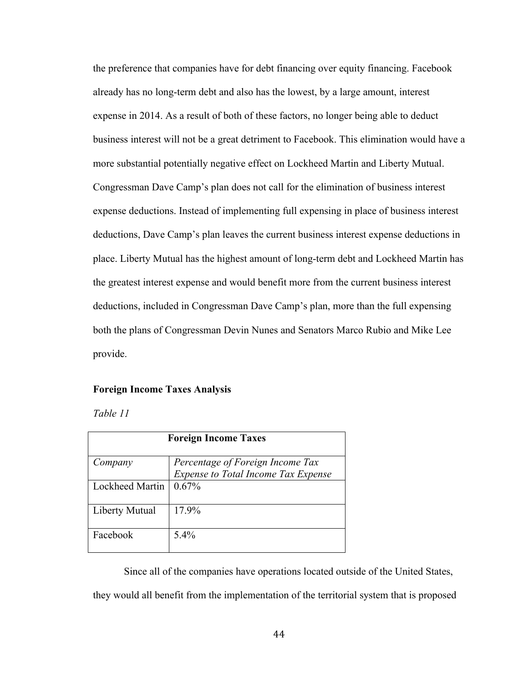the preference that companies have for debt financing over equity financing. Facebook already has no long-term debt and also has the lowest, by a large amount, interest expense in 2014. As a result of both of these factors, no longer being able to deduct business interest will not be a great detriment to Facebook. This elimination would have a more substantial potentially negative effect on Lockheed Martin and Liberty Mutual. Congressman Dave Camp's plan does not call for the elimination of business interest expense deductions. Instead of implementing full expensing in place of business interest deductions, Dave Camp's plan leaves the current business interest expense deductions in place. Liberty Mutual has the highest amount of long-term debt and Lockheed Martin has the greatest interest expense and would benefit more from the current business interest deductions, included in Congressman Dave Camp's plan, more than the full expensing both the plans of Congressman Devin Nunes and Senators Marco Rubio and Mike Lee provide.

#### **Foreign Income Taxes Analysis**

*Table 11*

| <b>Foreign Income Taxes</b> |                                                                         |  |
|-----------------------------|-------------------------------------------------------------------------|--|
| Company                     | Percentage of Foreign Income Tax<br>Expense to Total Income Tax Expense |  |
| Lockheed Martin             | 0.67%                                                                   |  |
| Liberty Mutual              | 17.9%                                                                   |  |
| Facebook                    | $5.4\%$                                                                 |  |

Since all of the companies have operations located outside of the United States, they would all benefit from the implementation of the territorial system that is proposed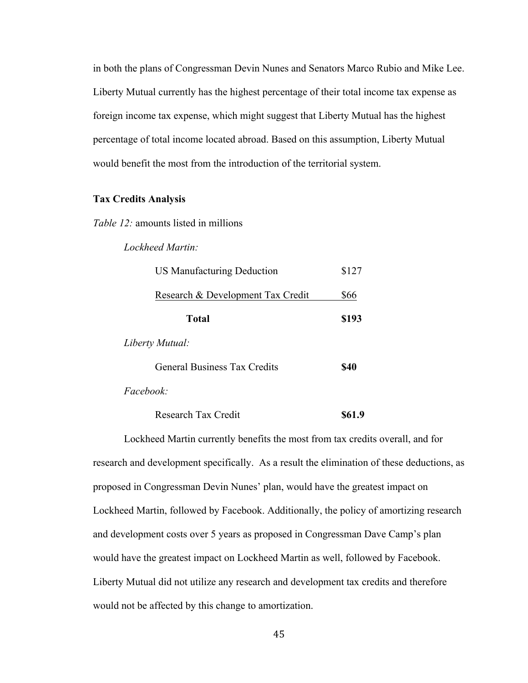in both the plans of Congressman Devin Nunes and Senators Marco Rubio and Mike Lee. Liberty Mutual currently has the highest percentage of their total income tax expense as foreign income tax expense, which might suggest that Liberty Mutual has the highest percentage of total income located abroad. Based on this assumption, Liberty Mutual would benefit the most from the introduction of the territorial system.

# **Tax Credits Analysis**

*Table 12:* amounts listed in millions

*Lockheed Martin:* 

| \$127 |
|-------|
| \$66  |
| \$193 |
|       |
| S40   |
|       |

*Facebook:* 

Research Tax Credit **\$61.9** 

Lockheed Martin currently benefits the most from tax credits overall, and for research and development specifically. As a result the elimination of these deductions, as proposed in Congressman Devin Nunes' plan, would have the greatest impact on Lockheed Martin, followed by Facebook. Additionally, the policy of amortizing research and development costs over 5 years as proposed in Congressman Dave Camp's plan would have the greatest impact on Lockheed Martin as well, followed by Facebook. Liberty Mutual did not utilize any research and development tax credits and therefore would not be affected by this change to amortization.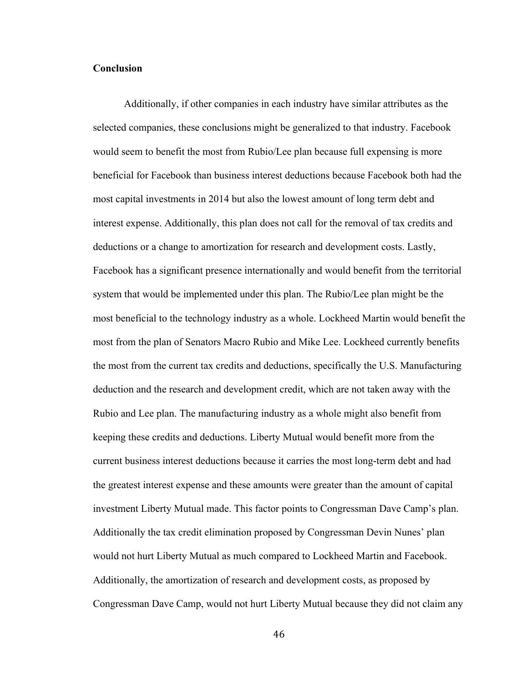# **Conclusion**

Additionally, if other companies in each industry have similar attributes as the selected companies, these conclusions might be generalized to that industry. Facebook would seem to benefit the most from Rubio/Lee plan because full expensing is more beneficial for Facebook than business interest deductions because Facebook both had the most capital investments in 2014 but also the lowest amount of long term debt and interest expense. Additionally, this plan does not call for the removal of tax credits and deductions or a change to amortization for research and development costs. Lastly, Facebook has a significant presence internationally and would benefit from the territorial system that would be implemented under this plan. The Rubio/Lee plan might be the most beneficial to the technology industry as a whole. Lockheed Martin would benefit the most from the plan of Senators Macro Rubio and Mike Lee. Lockheed currently benefits the most from the current tax credits and deductions, specifically the U.S. Manufacturing deduction and the research and development credit, which are not taken away with the Rubio and Lee plan. The manufacturing industry as a whole might also benefit from keeping these credits and deductions. Liberty Mutual would benefit more from the current business interest deductions because it carries the most long-term debt and had the greatest interest expense and these amounts were greater than the amount of capital investment Liberty Mutual made. This factor points to Congressman Dave Camp's plan. Additionally the tax credit elimination proposed by Congressman Devin Nunes' plan would not hurt Liberty Mutual as much compared to Lockheed Martin and Facebook. Additionally, the amortization of research and development costs, as proposed by Congressman Dave Camp, would not hurt Liberty Mutual because they did not claim any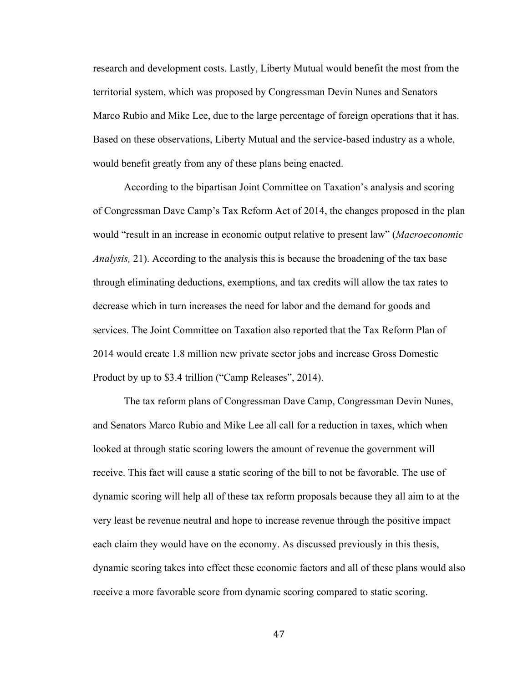research and development costs. Lastly, Liberty Mutual would benefit the most from the territorial system, which was proposed by Congressman Devin Nunes and Senators Marco Rubio and Mike Lee, due to the large percentage of foreign operations that it has. Based on these observations, Liberty Mutual and the service-based industry as a whole, would benefit greatly from any of these plans being enacted.

According to the bipartisan Joint Committee on Taxation's analysis and scoring of Congressman Dave Camp's Tax Reform Act of 2014, the changes proposed in the plan would "result in an increase in economic output relative to present law" (*Macroeconomic Analysis,* 21). According to the analysis this is because the broadening of the tax base through eliminating deductions, exemptions, and tax credits will allow the tax rates to decrease which in turn increases the need for labor and the demand for goods and services. The Joint Committee on Taxation also reported that the Tax Reform Plan of 2014 would create 1.8 million new private sector jobs and increase Gross Domestic Product by up to \$3.4 trillion ("Camp Releases", 2014).

The tax reform plans of Congressman Dave Camp, Congressman Devin Nunes, and Senators Marco Rubio and Mike Lee all call for a reduction in taxes, which when looked at through static scoring lowers the amount of revenue the government will receive. This fact will cause a static scoring of the bill to not be favorable. The use of dynamic scoring will help all of these tax reform proposals because they all aim to at the very least be revenue neutral and hope to increase revenue through the positive impact each claim they would have on the economy. As discussed previously in this thesis, dynamic scoring takes into effect these economic factors and all of these plans would also receive a more favorable score from dynamic scoring compared to static scoring.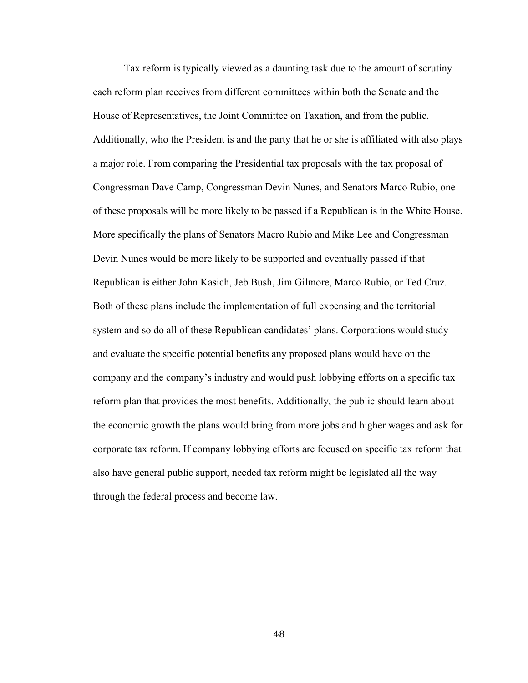Tax reform is typically viewed as a daunting task due to the amount of scrutiny each reform plan receives from different committees within both the Senate and the House of Representatives, the Joint Committee on Taxation, and from the public. Additionally, who the President is and the party that he or she is affiliated with also plays a major role. From comparing the Presidential tax proposals with the tax proposal of Congressman Dave Camp, Congressman Devin Nunes, and Senators Marco Rubio, one of these proposals will be more likely to be passed if a Republican is in the White House. More specifically the plans of Senators Macro Rubio and Mike Lee and Congressman Devin Nunes would be more likely to be supported and eventually passed if that Republican is either John Kasich, Jeb Bush, Jim Gilmore, Marco Rubio, or Ted Cruz. Both of these plans include the implementation of full expensing and the territorial system and so do all of these Republican candidates' plans. Corporations would study and evaluate the specific potential benefits any proposed plans would have on the company and the company's industry and would push lobbying efforts on a specific tax reform plan that provides the most benefits. Additionally, the public should learn about the economic growth the plans would bring from more jobs and higher wages and ask for corporate tax reform. If company lobbying efforts are focused on specific tax reform that also have general public support, needed tax reform might be legislated all the way through the federal process and become law.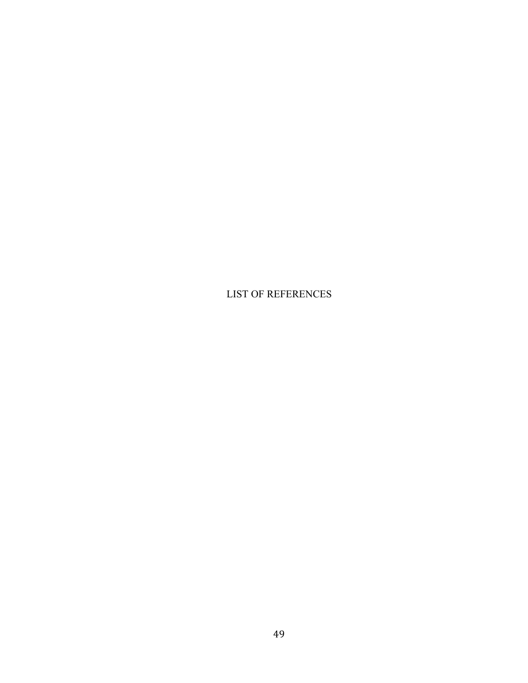LIST OF REFERENCES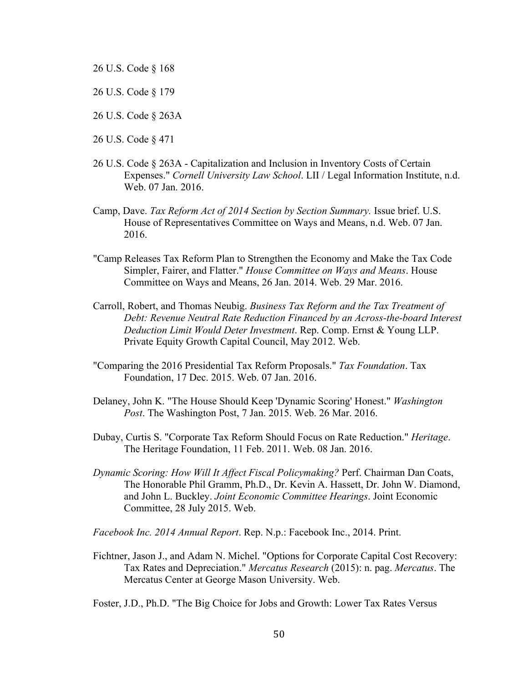- 26 U.S. Code § 168
- 26 U.S. Code § 179
- 26 U.S. Code § 263A
- 26 U.S. Code § 471
- 26 U.S. Code § 263A Capitalization and Inclusion in Inventory Costs of Certain Expenses." *Cornell University Law School*. LII / Legal Information Institute, n.d. Web. 07 Jan. 2016.
- Camp, Dave. *Tax Reform Act of 2014 Section by Section Summary.* Issue brief. U.S. House of Representatives Committee on Ways and Means, n.d. Web. 07 Jan. 2016.
- "Camp Releases Tax Reform Plan to Strengthen the Economy and Make the Tax Code Simpler, Fairer, and Flatter." *House Committee on Ways and Means*. House Committee on Ways and Means, 26 Jan. 2014. Web. 29 Mar. 2016.
- Carroll, Robert, and Thomas Neubig. *Business Tax Reform and the Tax Treatment of Debt: Revenue Neutral Rate Reduction Financed by an Across-the-board Interest Deduction Limit Would Deter Investment*. Rep. Comp. Ernst & Young LLP. Private Equity Growth Capital Council, May 2012. Web.
- "Comparing the 2016 Presidential Tax Reform Proposals." *Tax Foundation*. Tax Foundation, 17 Dec. 2015. Web. 07 Jan. 2016.
- Delaney, John K. "The House Should Keep 'Dynamic Scoring' Honest." *Washington Post*. The Washington Post, 7 Jan. 2015. Web. 26 Mar. 2016.
- Dubay, Curtis S. "Corporate Tax Reform Should Focus on Rate Reduction." *Heritage*. The Heritage Foundation, 11 Feb. 2011. Web. 08 Jan. 2016.
- *Dynamic Scoring: How Will It Affect Fiscal Policymaking?* Perf. Chairman Dan Coats, The Honorable Phil Gramm, Ph.D., Dr. Kevin A. Hassett, Dr. John W. Diamond, and John L. Buckley. *Joint Economic Committee Hearings*. Joint Economic Committee, 28 July 2015. Web.

*Facebook Inc. 2014 Annual Report*. Rep. N.p.: Facebook Inc., 2014. Print.

Fichtner, Jason J., and Adam N. Michel. "Options for Corporate Capital Cost Recovery: Tax Rates and Depreciation." *Mercatus Research* (2015): n. pag. *Mercatus*. The Mercatus Center at George Mason University. Web.

Foster, J.D., Ph.D. "The Big Choice for Jobs and Growth: Lower Tax Rates Versus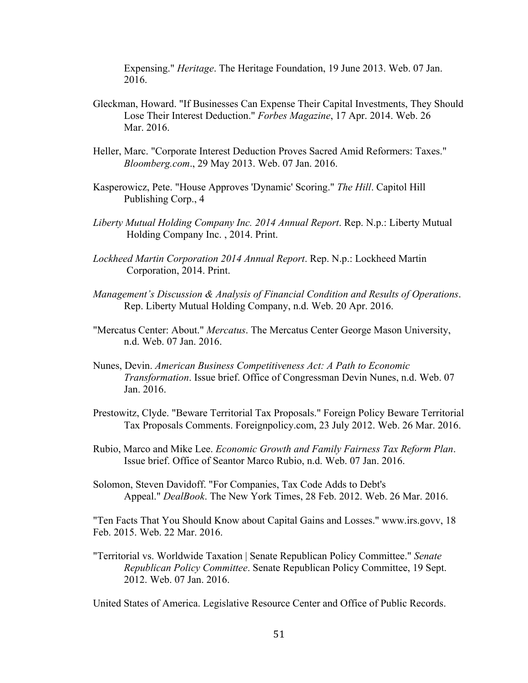Expensing." *Heritage*. The Heritage Foundation, 19 June 2013. Web. 07 Jan. 2016.

- Gleckman, Howard. "If Businesses Can Expense Their Capital Investments, They Should Lose Their Interest Deduction." *Forbes Magazine*, 17 Apr. 2014. Web. 26 Mar. 2016.
- Heller, Marc. "Corporate Interest Deduction Proves Sacred Amid Reformers: Taxes." *Bloomberg.com*., 29 May 2013. Web. 07 Jan. 2016.
- Kasperowicz, Pete. "House Approves 'Dynamic' Scoring." *The Hill*. Capitol Hill Publishing Corp., 4
- *Liberty Mutual Holding Company Inc. 2014 Annual Report*. Rep. N.p.: Liberty Mutual Holding Company Inc. , 2014. Print.
- *Lockheed Martin Corporation 2014 Annual Report*. Rep. N.p.: Lockheed Martin Corporation, 2014. Print.
- *Management's Discussion & Analysis of Financial Condition and Results of Operations*. Rep. Liberty Mutual Holding Company, n.d. Web. 20 Apr. 2016.
- "Mercatus Center: About." *Mercatus*. The Mercatus Center George Mason University, n.d. Web. 07 Jan. 2016.
- Nunes, Devin. *American Business Competitiveness Act: A Path to Economic Transformation*. Issue brief. Office of Congressman Devin Nunes, n.d. Web. 07 Jan. 2016.
- Prestowitz, Clyde. "Beware Territorial Tax Proposals." Foreign Policy Beware Territorial Tax Proposals Comments. Foreignpolicy.com, 23 July 2012. Web. 26 Mar. 2016.
- Rubio, Marco and Mike Lee. *Economic Growth and Family Fairness Tax Reform Plan*. Issue brief. Office of Seantor Marco Rubio, n.d. Web. 07 Jan. 2016.
- Solomon, Steven Davidoff. "For Companies, Tax Code Adds to Debt's Appeal." *DealBook*. The New York Times, 28 Feb. 2012. Web. 26 Mar. 2016.

"Ten Facts That You Should Know about Capital Gains and Losses." www.irs.govv, 18 Feb. 2015. Web. 22 Mar. 2016.

"Territorial vs. Worldwide Taxation | Senate Republican Policy Committee." *Senate Republican Policy Committee*. Senate Republican Policy Committee, 19 Sept. 2012. Web. 07 Jan. 2016.

United States of America. Legislative Resource Center and Office of Public Records.